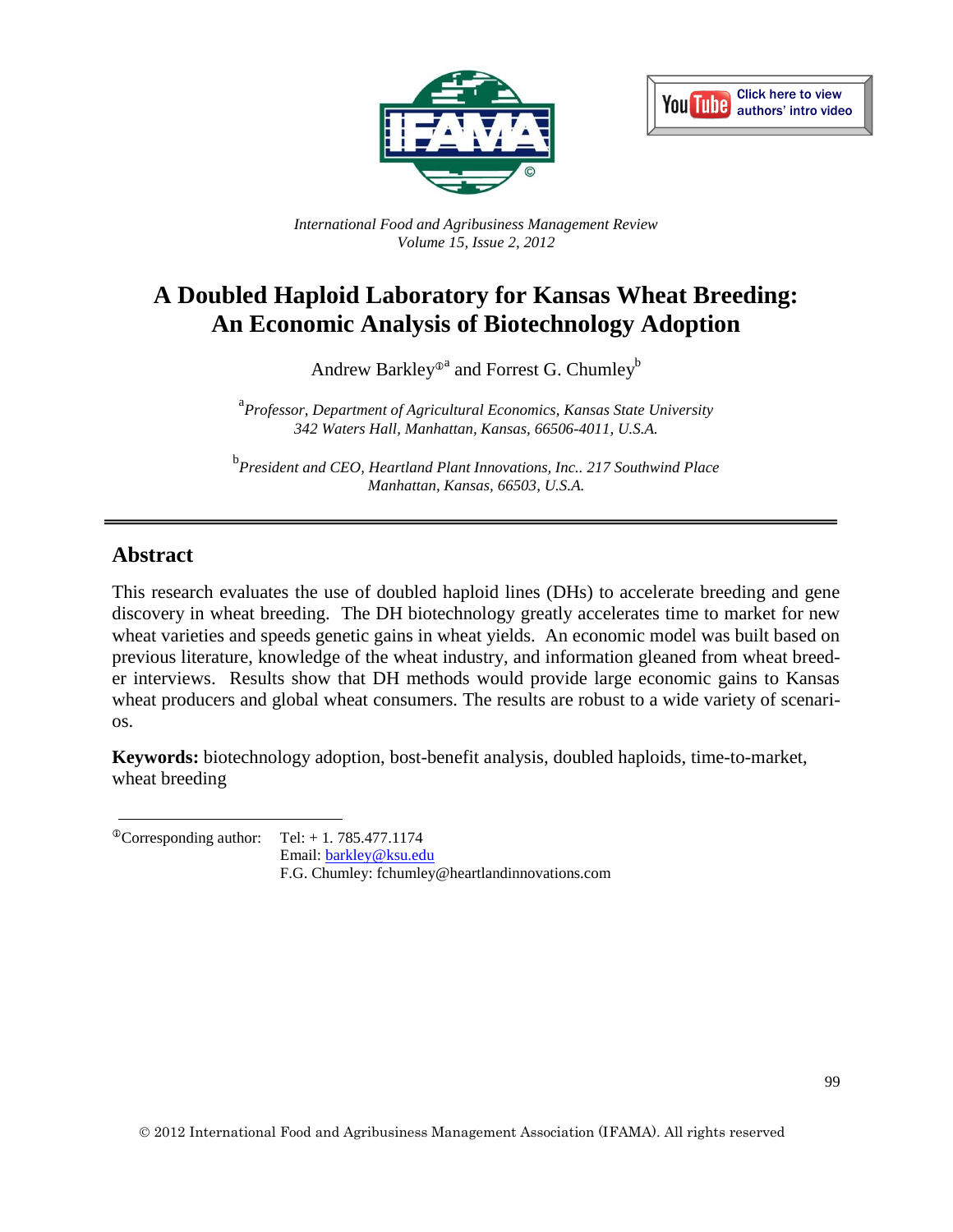



*International Food and Agribusiness Management Review Volume 15, Issue 2, 2012*

# **A Doubled Haploid Laboratory for Kansas Wheat Breeding: An Economic Analysis of Biotechnology Adoption**

Andrew Barkley $^{\oplus^{\rm a}}$  and Forrest G. Chumley $^{\rm b}$ 

a *Professor, Department of Agricultural Economics, Kansas State University 342 Waters Hall, Manhattan, Kansas, 66506-4011, U.S.A.*

b *President and CEO, Heartland Plant Innovations, Inc.. 217 Southwind Place Manhattan, Kansas, 66503, U.S.A.*

# **Abstract**

This research evaluates the use of doubled haploid lines (DHs) to accelerate breeding and gene discovery in wheat breeding. The DH biotechnology greatly accelerates time to market for new wheat varieties and speeds genetic gains in wheat yields. An economic model was built based on previous literature, knowledge of the wheat industry, and information gleaned from wheat breeder interviews. Results show that DH methods would provide large economic gains to Kansas wheat producers and global wheat consumers. The results are robust to a wide variety of scenarios.

**Keywords:** biotechnology adoption, bost-benefit analysis, doubled haploids, time-to-market, wheat breeding

 $^{\circ}$ Corresponding author: Tel: + 1. 785.477.1174

Email: [barkley@ksu.edu](mailto:barkley@ksu.edu)

F.G. Chumley: fchumley@heartlandinnovations.com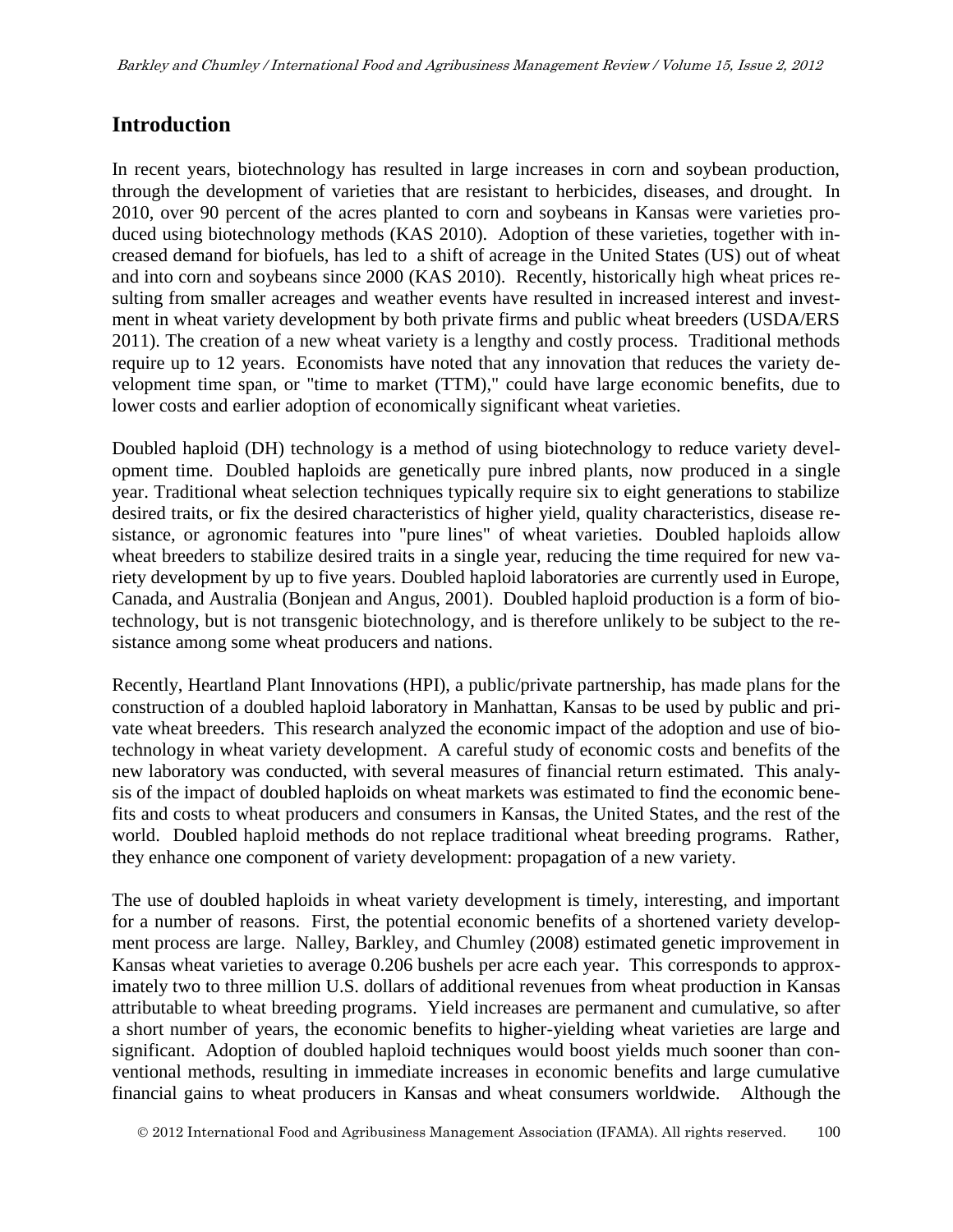### **Introduction**

In recent years, biotechnology has resulted in large increases in corn and soybean production, through the development of varieties that are resistant to herbicides, diseases, and drought. In 2010, over 90 percent of the acres planted to corn and soybeans in Kansas were varieties produced using biotechnology methods (KAS 2010). Adoption of these varieties, together with increased demand for biofuels, has led to a shift of acreage in the United States (US) out of wheat and into corn and soybeans since 2000 (KAS 2010). Recently, historically high wheat prices resulting from smaller acreages and weather events have resulted in increased interest and investment in wheat variety development by both private firms and public wheat breeders (USDA/ERS 2011). The creation of a new wheat variety is a lengthy and costly process. Traditional methods require up to 12 years. Economists have noted that any innovation that reduces the variety development time span, or "time to market (TTM)," could have large economic benefits, due to lower costs and earlier adoption of economically significant wheat varieties.

Doubled haploid (DH) technology is a method of using biotechnology to reduce variety development time. Doubled haploids are genetically pure inbred plants, now produced in a single year. Traditional wheat selection techniques typically require six to eight generations to stabilize desired traits, or fix the desired characteristics of higher yield, quality characteristics, disease resistance, or agronomic features into "pure lines" of wheat varieties. Doubled haploids allow wheat breeders to stabilize desired traits in a single year, reducing the time required for new variety development by up to five years. Doubled haploid laboratories are currently used in Europe, Canada, and Australia (Bonjean and Angus, 2001). Doubled haploid production is a form of biotechnology, but is not transgenic biotechnology, and is therefore unlikely to be subject to the resistance among some wheat producers and nations.

Recently, Heartland Plant Innovations (HPI), a public/private partnership, has made plans for the construction of a doubled haploid laboratory in Manhattan, Kansas to be used by public and private wheat breeders. This research analyzed the economic impact of the adoption and use of biotechnology in wheat variety development. A careful study of economic costs and benefits of the new laboratory was conducted, with several measures of financial return estimated. This analysis of the impact of doubled haploids on wheat markets was estimated to find the economic benefits and costs to wheat producers and consumers in Kansas, the United States, and the rest of the world. Doubled haploid methods do not replace traditional wheat breeding programs. Rather, they enhance one component of variety development: propagation of a new variety.

The use of doubled haploids in wheat variety development is timely, interesting, and important for a number of reasons. First, the potential economic benefits of a shortened variety development process are large. Nalley, Barkley, and Chumley (2008) estimated genetic improvement in Kansas wheat varieties to average 0.206 bushels per acre each year. This corresponds to approximately two to three million U.S. dollars of additional revenues from wheat production in Kansas attributable to wheat breeding programs. Yield increases are permanent and cumulative, so after a short number of years, the economic benefits to higher-yielding wheat varieties are large and significant. Adoption of doubled haploid techniques would boost yields much sooner than conventional methods, resulting in immediate increases in economic benefits and large cumulative financial gains to wheat producers in Kansas and wheat consumers worldwide. Although the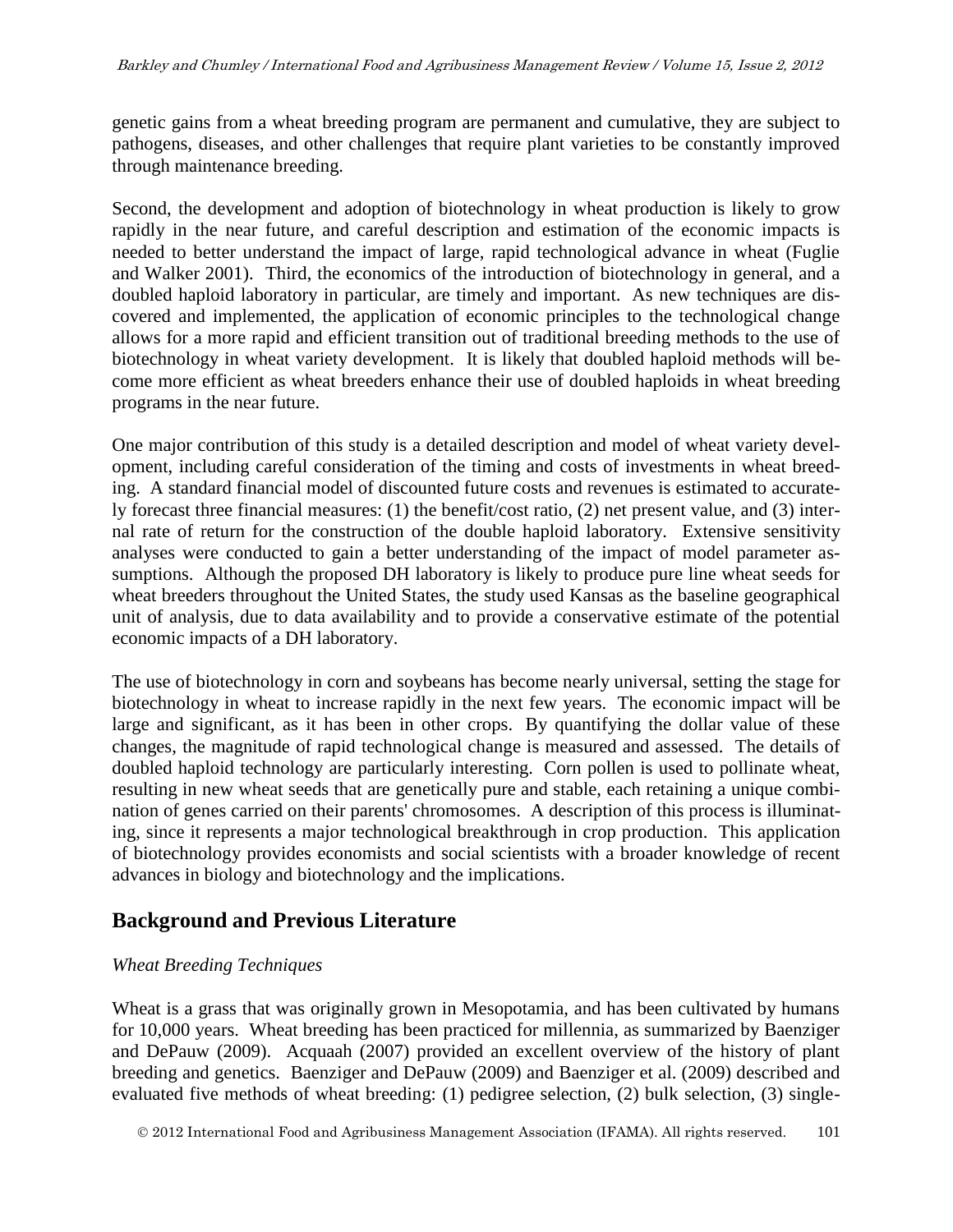genetic gains from a wheat breeding program are permanent and cumulative, they are subject to pathogens, diseases, and other challenges that require plant varieties to be constantly improved through maintenance breeding.

Second, the development and adoption of biotechnology in wheat production is likely to grow rapidly in the near future, and careful description and estimation of the economic impacts is needed to better understand the impact of large, rapid technological advance in wheat (Fuglie and Walker 2001). Third, the economics of the introduction of biotechnology in general, and a doubled haploid laboratory in particular, are timely and important. As new techniques are discovered and implemented, the application of economic principles to the technological change allows for a more rapid and efficient transition out of traditional breeding methods to the use of biotechnology in wheat variety development. It is likely that doubled haploid methods will become more efficient as wheat breeders enhance their use of doubled haploids in wheat breeding programs in the near future.

One major contribution of this study is a detailed description and model of wheat variety development, including careful consideration of the timing and costs of investments in wheat breeding. A standard financial model of discounted future costs and revenues is estimated to accurately forecast three financial measures: (1) the benefit/cost ratio, (2) net present value, and (3) internal rate of return for the construction of the double haploid laboratory. Extensive sensitivity analyses were conducted to gain a better understanding of the impact of model parameter assumptions. Although the proposed DH laboratory is likely to produce pure line wheat seeds for wheat breeders throughout the United States, the study used Kansas as the baseline geographical unit of analysis, due to data availability and to provide a conservative estimate of the potential economic impacts of a DH laboratory.

The use of biotechnology in corn and soybeans has become nearly universal, setting the stage for biotechnology in wheat to increase rapidly in the next few years. The economic impact will be large and significant, as it has been in other crops. By quantifying the dollar value of these changes, the magnitude of rapid technological change is measured and assessed. The details of doubled haploid technology are particularly interesting. Corn pollen is used to pollinate wheat, resulting in new wheat seeds that are genetically pure and stable, each retaining a unique combination of genes carried on their parents' chromosomes. A description of this process is illuminating, since it represents a major technological breakthrough in crop production. This application of biotechnology provides economists and social scientists with a broader knowledge of recent advances in biology and biotechnology and the implications.

# **Background and Previous Literature**

### *Wheat Breeding Techniques*

Wheat is a grass that was originally grown in Mesopotamia, and has been cultivated by humans for 10,000 years. Wheat breeding has been practiced for millennia, as summarized by Baenziger and DePauw (2009). Acquaah (2007) provided an excellent overview of the history of plant breeding and genetics. Baenziger and DePauw (2009) and Baenziger et al. (2009) described and evaluated five methods of wheat breeding: (1) pedigree selection, (2) bulk selection, (3) single-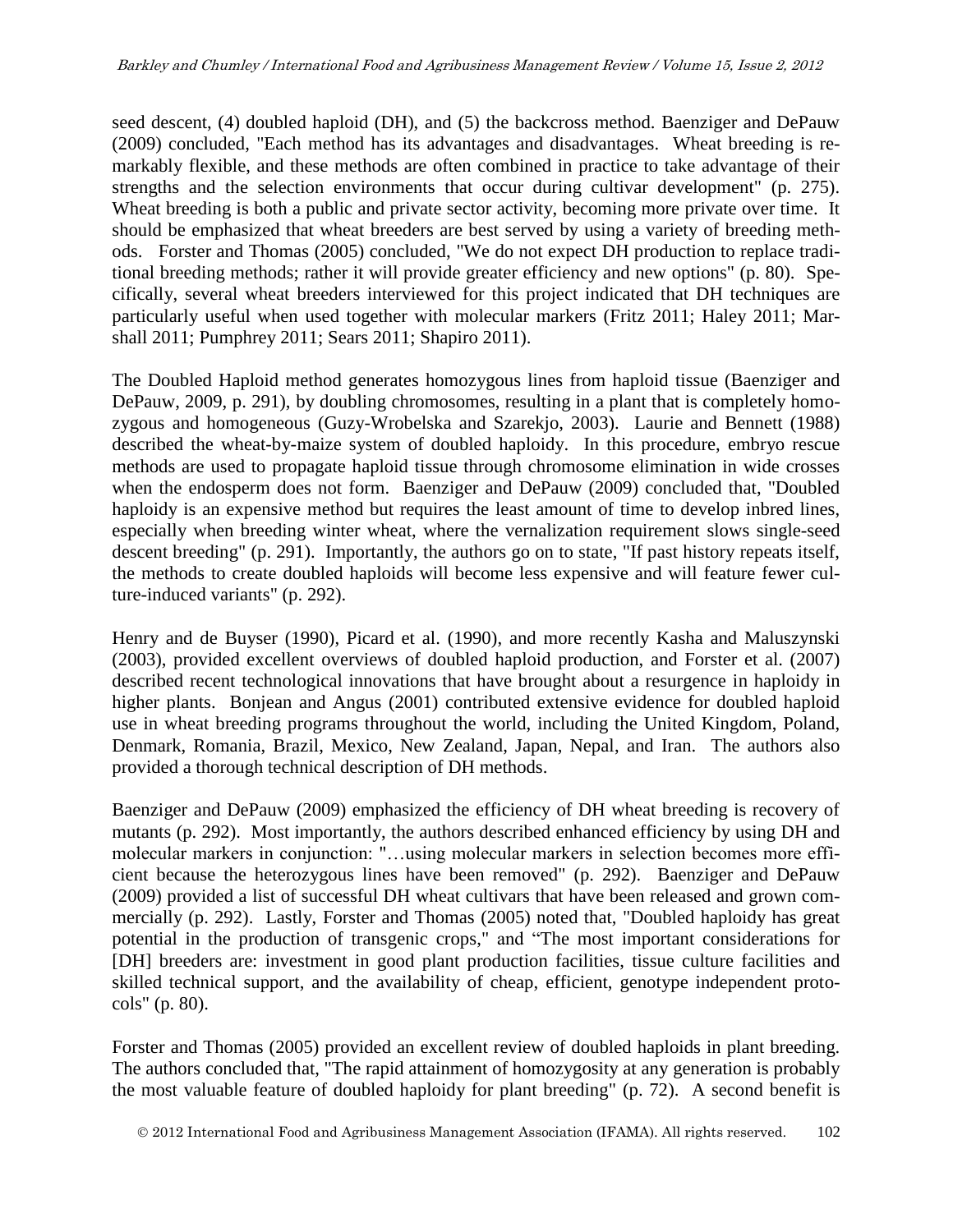seed descent, (4) doubled haploid (DH), and (5) the backcross method. Baenziger and DePauw (2009) concluded, "Each method has its advantages and disadvantages. Wheat breeding is remarkably flexible, and these methods are often combined in practice to take advantage of their strengths and the selection environments that occur during cultivar development" (p. 275). Wheat breeding is both a public and private sector activity, becoming more private over time. It should be emphasized that wheat breeders are best served by using a variety of breeding methods. Forster and Thomas (2005) concluded, "We do not expect DH production to replace traditional breeding methods; rather it will provide greater efficiency and new options" (p. 80). Specifically, several wheat breeders interviewed for this project indicated that DH techniques are particularly useful when used together with molecular markers (Fritz 2011; Haley 2011; Marshall 2011; Pumphrey 2011; Sears 2011; Shapiro 2011).

The Doubled Haploid method generates homozygous lines from haploid tissue (Baenziger and DePauw, 2009, p. 291), by doubling chromosomes, resulting in a plant that is completely homozygous and homogeneous (Guzy-Wrobelska and Szarekjo, 2003). Laurie and Bennett (1988) described the wheat-by-maize system of doubled haploidy. In this procedure, embryo rescue methods are used to propagate haploid tissue through chromosome elimination in wide crosses when the endosperm does not form. Baenziger and DePauw (2009) concluded that, "Doubled haploidy is an expensive method but requires the least amount of time to develop inbred lines, especially when breeding winter wheat, where the vernalization requirement slows single-seed descent breeding" (p. 291). Importantly, the authors go on to state, "If past history repeats itself, the methods to create doubled haploids will become less expensive and will feature fewer culture-induced variants" (p. 292).

Henry and de Buyser (1990), Picard et al. (1990), and more recently Kasha and Maluszynski (2003), provided excellent overviews of doubled haploid production, and Forster et al. (2007) described recent technological innovations that have brought about a resurgence in haploidy in higher plants. Bonjean and Angus (2001) contributed extensive evidence for doubled haploid use in wheat breeding programs throughout the world, including the United Kingdom, Poland, Denmark, Romania, Brazil, Mexico, New Zealand, Japan, Nepal, and Iran. The authors also provided a thorough technical description of DH methods.

Baenziger and DePauw (2009) emphasized the efficiency of DH wheat breeding is recovery of mutants (p. 292). Most importantly, the authors described enhanced efficiency by using DH and molecular markers in conjunction: "…using molecular markers in selection becomes more efficient because the heterozygous lines have been removed" (p. 292). Baenziger and DePauw (2009) provided a list of successful DH wheat cultivars that have been released and grown commercially (p. 292). Lastly, Forster and Thomas (2005) noted that, "Doubled haploidy has great potential in the production of transgenic crops," and "The most important considerations for [DH] breeders are: investment in good plant production facilities, tissue culture facilities and skilled technical support, and the availability of cheap, efficient, genotype independent protocols" (p. 80).

Forster and Thomas (2005) provided an excellent review of doubled haploids in plant breeding. The authors concluded that, "The rapid attainment of homozygosity at any generation is probably the most valuable feature of doubled haploidy for plant breeding" (p. 72). A second benefit is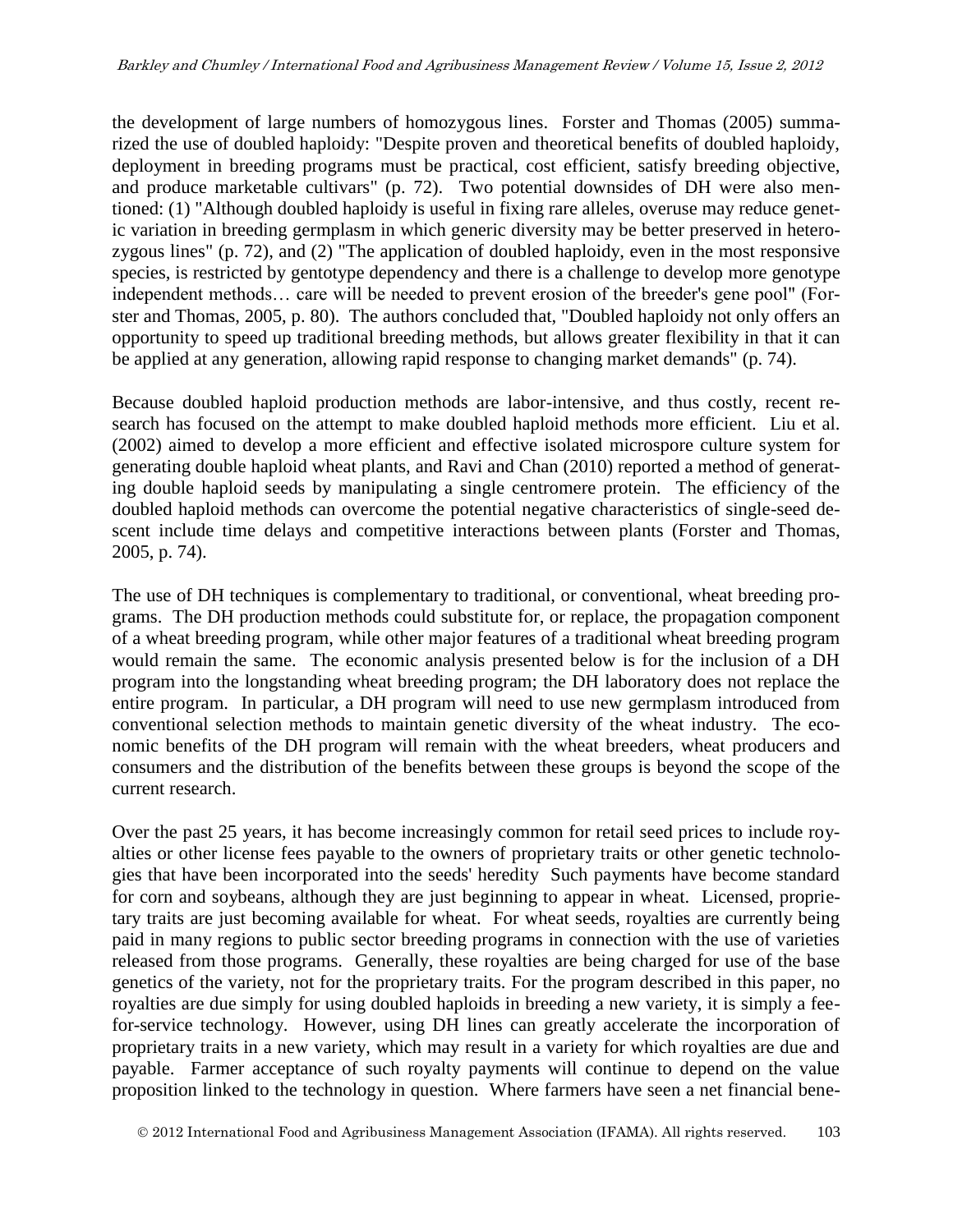the development of large numbers of homozygous lines. Forster and Thomas (2005) summarized the use of doubled haploidy: "Despite proven and theoretical benefits of doubled haploidy, deployment in breeding programs must be practical, cost efficient, satisfy breeding objective, and produce marketable cultivars" (p. 72). Two potential downsides of DH were also mentioned: (1) "Although doubled haploidy is useful in fixing rare alleles, overuse may reduce genetic variation in breeding germplasm in which generic diversity may be better preserved in heterozygous lines" (p. 72), and (2) "The application of doubled haploidy, even in the most responsive species, is restricted by gentotype dependency and there is a challenge to develop more genotype independent methods… care will be needed to prevent erosion of the breeder's gene pool" (Forster and Thomas, 2005, p. 80). The authors concluded that, "Doubled haploidy not only offers an opportunity to speed up traditional breeding methods, but allows greater flexibility in that it can be applied at any generation, allowing rapid response to changing market demands" (p. 74).

Because doubled haploid production methods are labor-intensive, and thus costly, recent research has focused on the attempt to make doubled haploid methods more efficient. Liu et al. (2002) aimed to develop a more efficient and effective isolated microspore culture system for generating double haploid wheat plants, and Ravi and Chan (2010) reported a method of generating double haploid seeds by manipulating a single centromere protein. The efficiency of the doubled haploid methods can overcome the potential negative characteristics of single-seed descent include time delays and competitive interactions between plants (Forster and Thomas, 2005, p. 74).

The use of DH techniques is complementary to traditional, or conventional, wheat breeding programs. The DH production methods could substitute for, or replace, the propagation component of a wheat breeding program, while other major features of a traditional wheat breeding program would remain the same. The economic analysis presented below is for the inclusion of a DH program into the longstanding wheat breeding program; the DH laboratory does not replace the entire program. In particular, a DH program will need to use new germplasm introduced from conventional selection methods to maintain genetic diversity of the wheat industry. The economic benefits of the DH program will remain with the wheat breeders, wheat producers and consumers and the distribution of the benefits between these groups is beyond the scope of the current research.

Over the past 25 years, it has become increasingly common for retail seed prices to include royalties or other license fees payable to the owners of proprietary traits or other genetic technologies that have been incorporated into the seeds' heredity Such payments have become standard for corn and soybeans, although they are just beginning to appear in wheat. Licensed, proprietary traits are just becoming available for wheat. For wheat seeds, royalties are currently being paid in many regions to public sector breeding programs in connection with the use of varieties released from those programs. Generally, these royalties are being charged for use of the base genetics of the variety, not for the proprietary traits. For the program described in this paper, no royalties are due simply for using doubled haploids in breeding a new variety, it is simply a feefor-service technology. However, using DH lines can greatly accelerate the incorporation of proprietary traits in a new variety, which may result in a variety for which royalties are due and payable. Farmer acceptance of such royalty payments will continue to depend on the value proposition linked to the technology in question. Where farmers have seen a net financial bene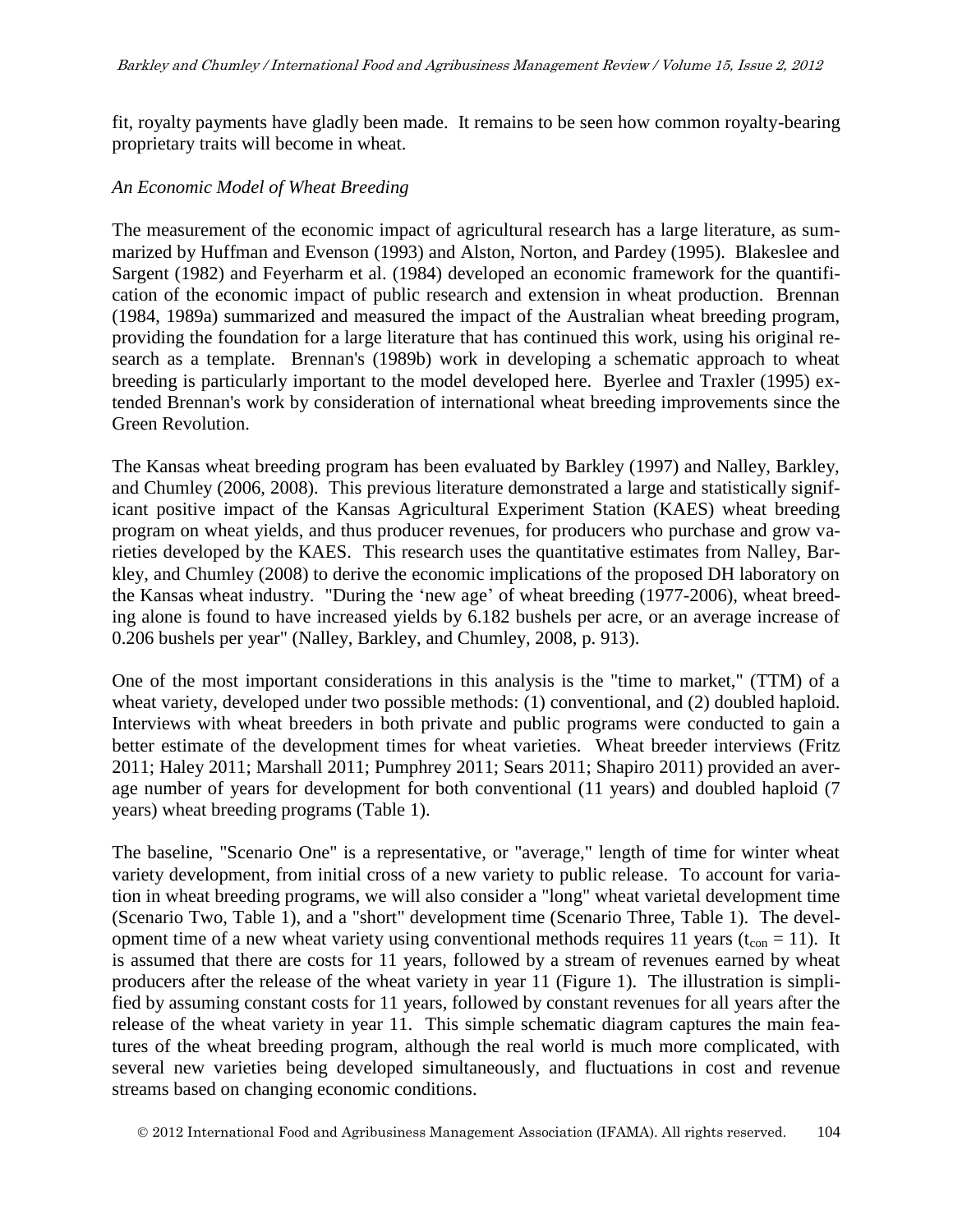fit, royalty payments have gladly been made. It remains to be seen how common royalty-bearing proprietary traits will become in wheat.

#### *An Economic Model of Wheat Breeding*

The measurement of the economic impact of agricultural research has a large literature, as summarized by Huffman and Evenson (1993) and Alston, Norton, and Pardey (1995). Blakeslee and Sargent (1982) and Feyerharm et al. (1984) developed an economic framework for the quantification of the economic impact of public research and extension in wheat production. Brennan (1984, 1989a) summarized and measured the impact of the Australian wheat breeding program, providing the foundation for a large literature that has continued this work, using his original research as a template. Brennan's (1989b) work in developing a schematic approach to wheat breeding is particularly important to the model developed here. Byerlee and Traxler (1995) extended Brennan's work by consideration of international wheat breeding improvements since the Green Revolution.

The Kansas wheat breeding program has been evaluated by Barkley (1997) and Nalley, Barkley, and Chumley (2006, 2008). This previous literature demonstrated a large and statistically significant positive impact of the Kansas Agricultural Experiment Station (KAES) wheat breeding program on wheat yields, and thus producer revenues, for producers who purchase and grow varieties developed by the KAES. This research uses the quantitative estimates from Nalley, Barkley, and Chumley (2008) to derive the economic implications of the proposed DH laboratory on the Kansas wheat industry. "During the 'new age' of wheat breeding (1977-2006), wheat breeding alone is found to have increased yields by 6.182 bushels per acre, or an average increase of 0.206 bushels per year" (Nalley, Barkley, and Chumley, 2008, p. 913).

One of the most important considerations in this analysis is the "time to market," (TTM) of a wheat variety, developed under two possible methods: (1) conventional, and (2) doubled haploid. Interviews with wheat breeders in both private and public programs were conducted to gain a better estimate of the development times for wheat varieties. Wheat breeder interviews (Fritz 2011; Haley 2011; Marshall 2011; Pumphrey 2011; Sears 2011; Shapiro 2011) provided an average number of years for development for both conventional (11 years) and doubled haploid (7 years) wheat breeding programs (Table 1).

The baseline, "Scenario One" is a representative, or "average," length of time for winter wheat variety development, from initial cross of a new variety to public release. To account for variation in wheat breeding programs, we will also consider a "long" wheat varietal development time (Scenario Two, Table 1), and a "short" development time (Scenario Three, Table 1). The development time of a new wheat variety using conventional methods requires 11 years ( $t_{con} = 11$ ). It is assumed that there are costs for 11 years, followed by a stream of revenues earned by wheat producers after the release of the wheat variety in year 11 (Figure 1). The illustration is simplified by assuming constant costs for 11 years, followed by constant revenues for all years after the release of the wheat variety in year 11. This simple schematic diagram captures the main features of the wheat breeding program, although the real world is much more complicated, with several new varieties being developed simultaneously, and fluctuations in cost and revenue streams based on changing economic conditions.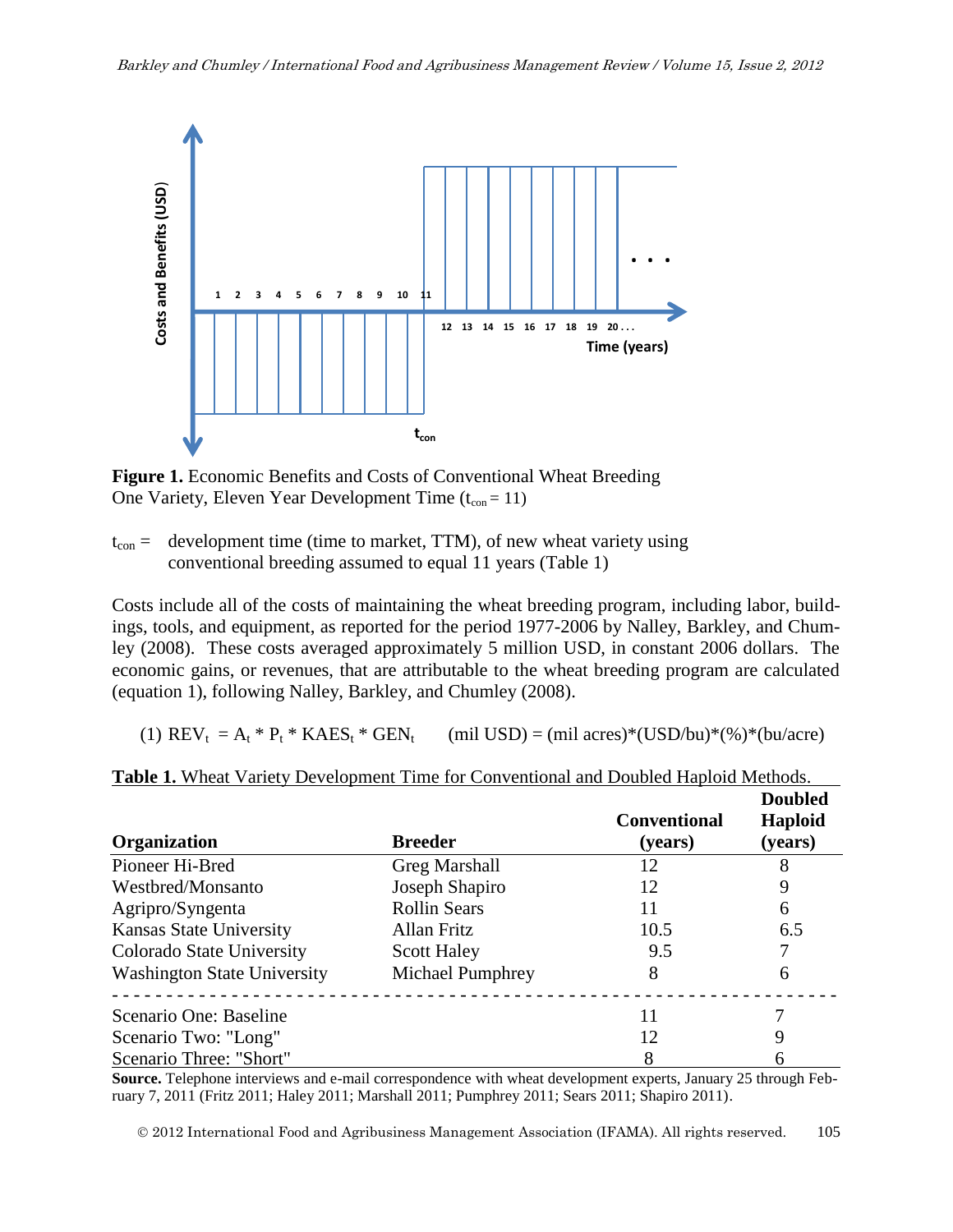

**Figure 1.** Economic Benefits and Costs of Conventional Wheat Breeding One Variety, Eleven Year Development Time  $(t_{\rm con} = 11)$ 

 $t_{\text{con}}$  = development time (time to market, TTM), of new wheat variety using conventional breeding assumed to equal 11 years (Table 1)

Costs include all of the costs of maintaining the wheat breeding program, including labor, buildings, tools, and equipment, as reported for the period 1977-2006 by Nalley, Barkley, and Chumley (2008). These costs averaged approximately 5 million USD, in constant 2006 dollars. The economic gains, or revenues, that are attributable to the wheat breeding program are calculated (equation 1), following Nalley, Barkley, and Chumley (2008).

(1)  $REV_t = A_t * P_t * KAES_t * GEN_t$  (mil USD) = (mil acres)\*(USD/bu)\*(%)\*(bu/acre)

| <b>Organization</b>                | <b>Breeder</b>          | <b>Conventional</b><br>(years) | <b>Doubled</b><br>Haploid<br>(years) |
|------------------------------------|-------------------------|--------------------------------|--------------------------------------|
| Pioneer Hi-Bred                    | <b>Greg Marshall</b>    | 12                             |                                      |
| Westbred/Monsanto                  | Joseph Shapiro          | 12                             | 9                                    |
| Agripro/Syngenta                   | <b>Rollin Sears</b>     | 11                             | 6                                    |
| <b>Kansas State University</b>     | Allan Fritz             | 10.5                           | 6.5                                  |
| Colorado State University          | <b>Scott Haley</b>      | 9.5                            |                                      |
| <b>Washington State University</b> | <b>Michael Pumphrey</b> | 8                              | 6                                    |
| Scenario One: Baseline             |                         |                                |                                      |
| Scenario Two: "Long"               |                         | 12                             | 9                                    |
| Scenario Three: "Short"            |                         |                                | 6                                    |

**Table 1.** Wheat Variety Development Time for Conventional and Doubled Haploid Methods.

**Source.** Telephone interviews and e-mail correspondence with wheat development experts, January 25 through February 7, 2011 (Fritz 2011; Haley 2011; Marshall 2011; Pumphrey 2011; Sears 2011; Shapiro 2011).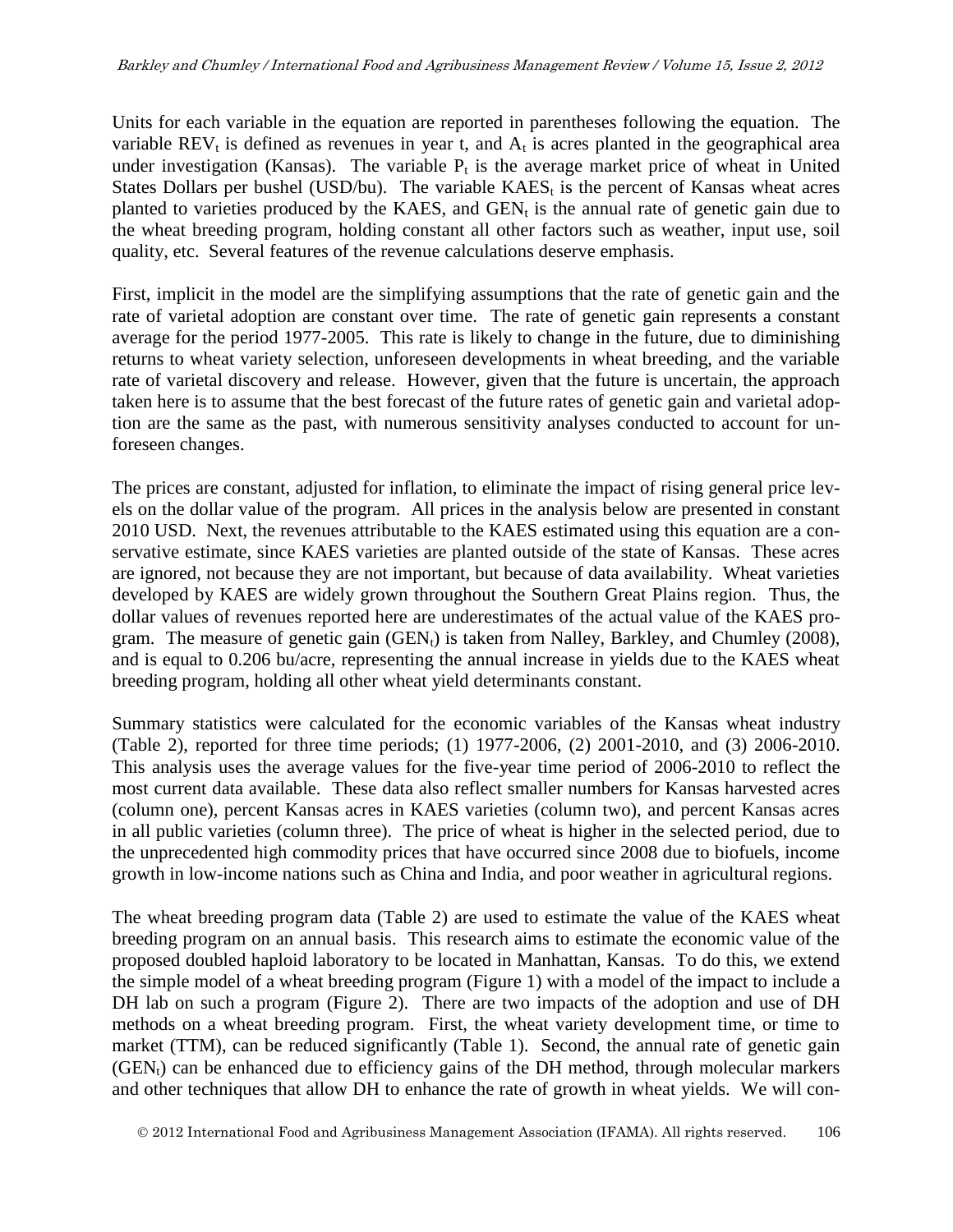Units for each variable in the equation are reported in parentheses following the equation. The variable  $REV_t$  is defined as revenues in year t, and  $A_t$  is acres planted in the geographical area under investigation (Kansas). The variable  $P_t$  is the average market price of wheat in United States Dollars per bushel (USD/bu). The variable  $KAES<sub>t</sub>$  is the percent of Kansas wheat acres planted to varieties produced by the KAES, and  $GEN_t$  is the annual rate of genetic gain due to the wheat breeding program, holding constant all other factors such as weather, input use, soil quality, etc. Several features of the revenue calculations deserve emphasis.

First, implicit in the model are the simplifying assumptions that the rate of genetic gain and the rate of varietal adoption are constant over time. The rate of genetic gain represents a constant average for the period 1977-2005. This rate is likely to change in the future, due to diminishing returns to wheat variety selection, unforeseen developments in wheat breeding, and the variable rate of varietal discovery and release. However, given that the future is uncertain, the approach taken here is to assume that the best forecast of the future rates of genetic gain and varietal adoption are the same as the past, with numerous sensitivity analyses conducted to account for unforeseen changes.

The prices are constant, adjusted for inflation, to eliminate the impact of rising general price levels on the dollar value of the program. All prices in the analysis below are presented in constant 2010 USD. Next, the revenues attributable to the KAES estimated using this equation are a conservative estimate, since KAES varieties are planted outside of the state of Kansas. These acres are ignored, not because they are not important, but because of data availability. Wheat varieties developed by KAES are widely grown throughout the Southern Great Plains region. Thus, the dollar values of revenues reported here are underestimates of the actual value of the KAES program. The measure of genetic gain  $(GEN<sub>t</sub>)$  is taken from Nalley, Barkley, and Chumley (2008), and is equal to 0.206 bu/acre, representing the annual increase in yields due to the KAES wheat breeding program, holding all other wheat yield determinants constant.

Summary statistics were calculated for the economic variables of the Kansas wheat industry (Table 2), reported for three time periods; (1) 1977-2006, (2) 2001-2010, and (3) 2006-2010. This analysis uses the average values for the five-year time period of 2006-2010 to reflect the most current data available. These data also reflect smaller numbers for Kansas harvested acres (column one), percent Kansas acres in KAES varieties (column two), and percent Kansas acres in all public varieties (column three). The price of wheat is higher in the selected period, due to the unprecedented high commodity prices that have occurred since 2008 due to biofuels, income growth in low-income nations such as China and India, and poor weather in agricultural regions.

The wheat breeding program data (Table 2) are used to estimate the value of the KAES wheat breeding program on an annual basis. This research aims to estimate the economic value of the proposed doubled haploid laboratory to be located in Manhattan, Kansas. To do this, we extend the simple model of a wheat breeding program (Figure 1) with a model of the impact to include a DH lab on such a program (Figure 2). There are two impacts of the adoption and use of DH methods on a wheat breeding program. First, the wheat variety development time, or time to market (TTM), can be reduced significantly (Table 1). Second, the annual rate of genetic gain  $(GEN_t)$  can be enhanced due to efficiency gains of the DH method, through molecular markers and other techniques that allow DH to enhance the rate of growth in wheat yields. We will con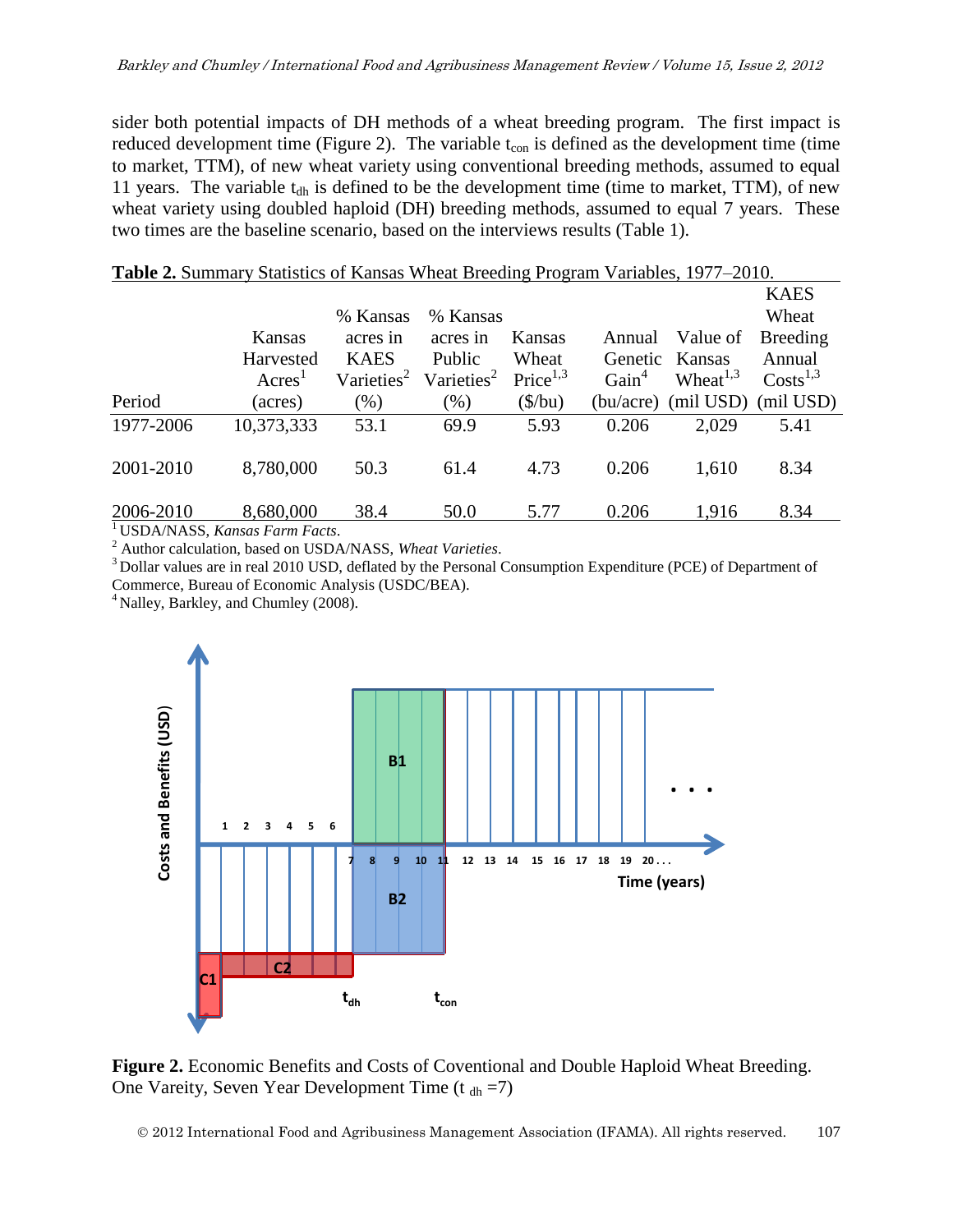sider both potential impacts of DH methods of a wheat breeding program. The first impact is reduced development time (Figure 2). The variable  $t_{con}$  is defined as the development time (time to market, TTM), of new wheat variety using conventional breeding methods, assumed to equal 11 years. The variable  $t_{dh}$  is defined to be the development time (time to market, TTM), of new wheat variety using doubled haploid (DH) breeding methods, assumed to equal 7 years. These two times are the baseline scenario, based on the interviews results (Table 1).

|           |                                      |                        | $D$ and $D$ is a subset of the set of $D$ is coming to set $D$ and $D$ is the set of $D$ is the set of $D$ is the set of $D$ is the set of $D$ is the set of $D$ is the set of $D$ is the set of $D$ is the set of $D$ is the |                       |                   |                     |                        |
|-----------|--------------------------------------|------------------------|-------------------------------------------------------------------------------------------------------------------------------------------------------------------------------------------------------------------------------|-----------------------|-------------------|---------------------|------------------------|
|           |                                      |                        |                                                                                                                                                                                                                               |                       |                   |                     | <b>KAES</b>            |
|           |                                      | % Kansas               | % Kansas                                                                                                                                                                                                                      |                       |                   |                     | Wheat                  |
|           | Kansas                               | acres in               | acres in                                                                                                                                                                                                                      | Kansas                | Annual            | Value of            | Breeding               |
|           | Harvested                            | <b>KAES</b>            | <b>Public</b>                                                                                                                                                                                                                 | Wheat                 |                   | Genetic Kansas      | Annual                 |
|           | A <sup>1</sup>                       | Varieties <sup>2</sup> | Varieties <sup>2</sup>                                                                                                                                                                                                        | Price <sup>1,3</sup>  | Gain <sup>4</sup> | Wheat $1,3$         | $Costs$ <sup>1,3</sup> |
| Period    | (acres)                              | (% )                   | $(\%)$                                                                                                                                                                                                                        | $(\frac{\sqrt{}}{2})$ |                   | (bu/acre) (mil USD) | (mil USD)              |
| 1977-2006 | 10,373,333                           | 53.1                   | 69.9                                                                                                                                                                                                                          | 5.93                  | 0.206             | 2,029               | 5.41                   |
| 2001-2010 | 8,780,000                            | 50.3                   | 61.4                                                                                                                                                                                                                          | 4.73                  | 0.206             | 1,610               | 8.34                   |
| 2006-2010 | 8,680,000                            | 38.4                   | 50.0                                                                                                                                                                                                                          | 5.77                  | 0.206             | 1,916               | 8.34                   |
|           | ITICDA ALACC $V$ we have $E$ and $E$ |                        |                                                                                                                                                                                                                               |                       |                   |                     |                        |

#### **Table 2.** Summary Statistics of Kansas Wheat Breeding Program Variables, 1977–2010.

<sup>1</sup>USDA/NASS, *Kansas Farm Facts*.

<sup>2</sup> Author calculation, based on USDA/NASS, *Wheat Varieties*.

<sup>3</sup> Dollar values are in real 2010 USD, deflated by the Personal Consumption Expenditure (PCE) of Department of Commerce, Bureau of Economic Analysis (USDC/BEA).

<sup>4</sup> Nalley, Barkley, and Chumley (2008).



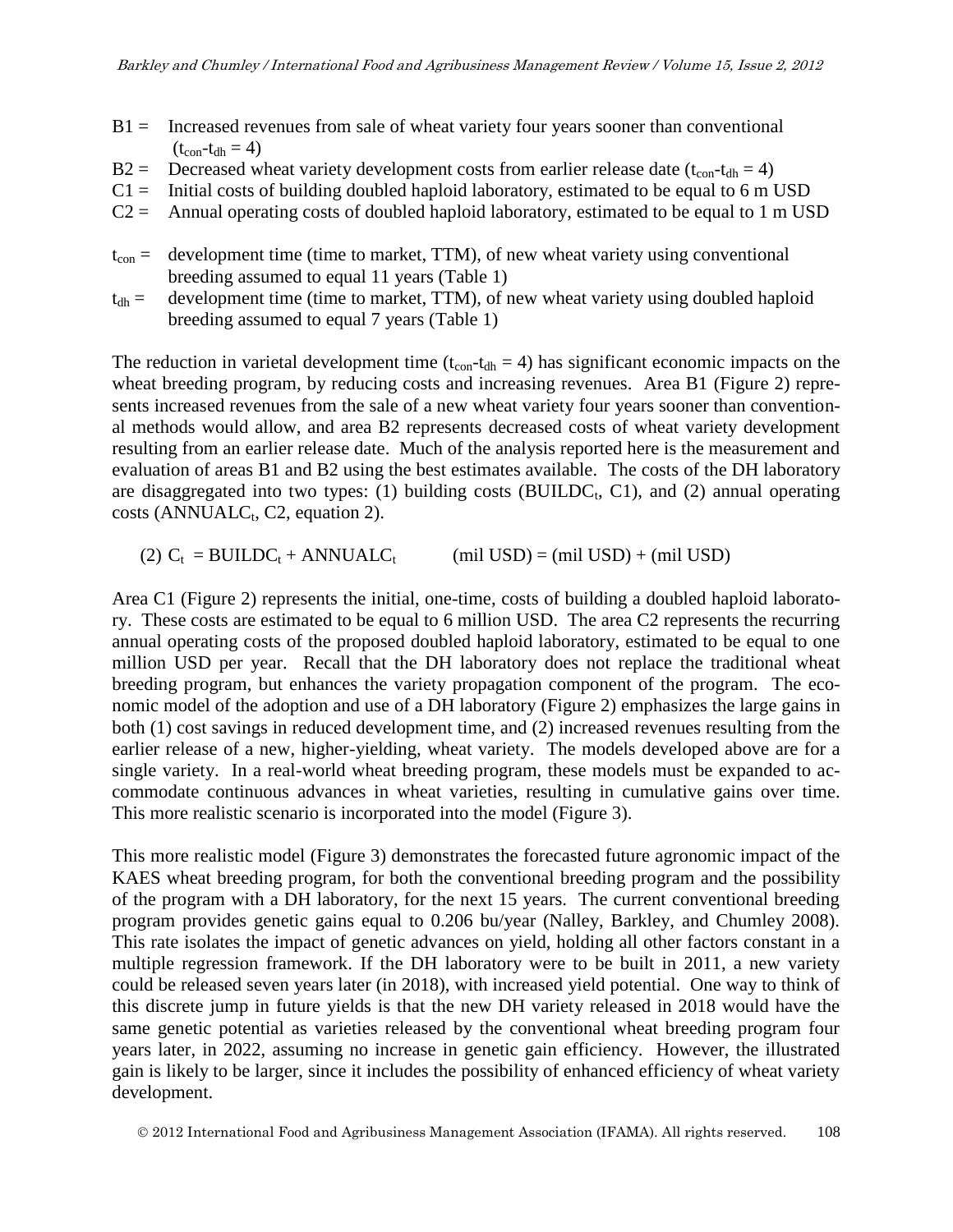- $B1 =$  Increased revenues from sale of wheat variety four years sooner than conventional  $(t_{\rm con} - t_{\rm dh} = 4)$
- $B2 =$  Decreased wheat variety development costs from earlier release date ( $t_{\rm con}$ - $t_{\rm dh} = 4$ )
- $C1 =$  Initial costs of building doubled haploid laboratory, estimated to be equal to 6 m USD
- $C2 =$  Annual operating costs of doubled haploid laboratory, estimated to be equal to 1 m USD
- $t_{\text{con}}$  = development time (time to market, TTM), of new wheat variety using conventional breeding assumed to equal 11 years (Table 1)
- $t_{dh}$  = development time (time to market, TTM), of new wheat variety using doubled haploid breeding assumed to equal 7 years (Table 1)

The reduction in varietal development time  $(t_{con}-t_{dh} = 4)$  has significant economic impacts on the wheat breeding program, by reducing costs and increasing revenues. Area B1 (Figure 2) represents increased revenues from the sale of a new wheat variety four years sooner than conventional methods would allow, and area B2 represents decreased costs of wheat variety development resulting from an earlier release date. Much of the analysis reported here is the measurement and evaluation of areas B1 and B2 using the best estimates available. The costs of the DH laboratory are disaggregated into two types: (1) building costs (BUILDC<sub>t</sub>, C1), and (2) annual operating  $costs$  (ANNUALC<sub>t</sub>, C2, equation 2).

(2) 
$$
C_t = BULDC_t + ANNUALC_t
$$
 (mil USD) = (mil USD) + (mil USD)

Area C1 (Figure 2) represents the initial, one-time, costs of building a doubled haploid laboratory. These costs are estimated to be equal to 6 million USD. The area C2 represents the recurring annual operating costs of the proposed doubled haploid laboratory, estimated to be equal to one million USD per year. Recall that the DH laboratory does not replace the traditional wheat breeding program, but enhances the variety propagation component of the program. The economic model of the adoption and use of a DH laboratory (Figure 2) emphasizes the large gains in both (1) cost savings in reduced development time, and (2) increased revenues resulting from the earlier release of a new, higher-yielding, wheat variety. The models developed above are for a single variety. In a real-world wheat breeding program, these models must be expanded to accommodate continuous advances in wheat varieties, resulting in cumulative gains over time. This more realistic scenario is incorporated into the model (Figure 3).

This more realistic model (Figure 3) demonstrates the forecasted future agronomic impact of the KAES wheat breeding program, for both the conventional breeding program and the possibility of the program with a DH laboratory, for the next 15 years. The current conventional breeding program provides genetic gains equal to 0.206 bu/year (Nalley, Barkley, and Chumley 2008). This rate isolates the impact of genetic advances on yield, holding all other factors constant in a multiple regression framework. If the DH laboratory were to be built in 2011, a new variety could be released seven years later (in 2018), with increased yield potential. One way to think of this discrete jump in future yields is that the new DH variety released in 2018 would have the same genetic potential as varieties released by the conventional wheat breeding program four years later, in 2022, assuming no increase in genetic gain efficiency. However, the illustrated gain is likely to be larger, since it includes the possibility of enhanced efficiency of wheat variety development.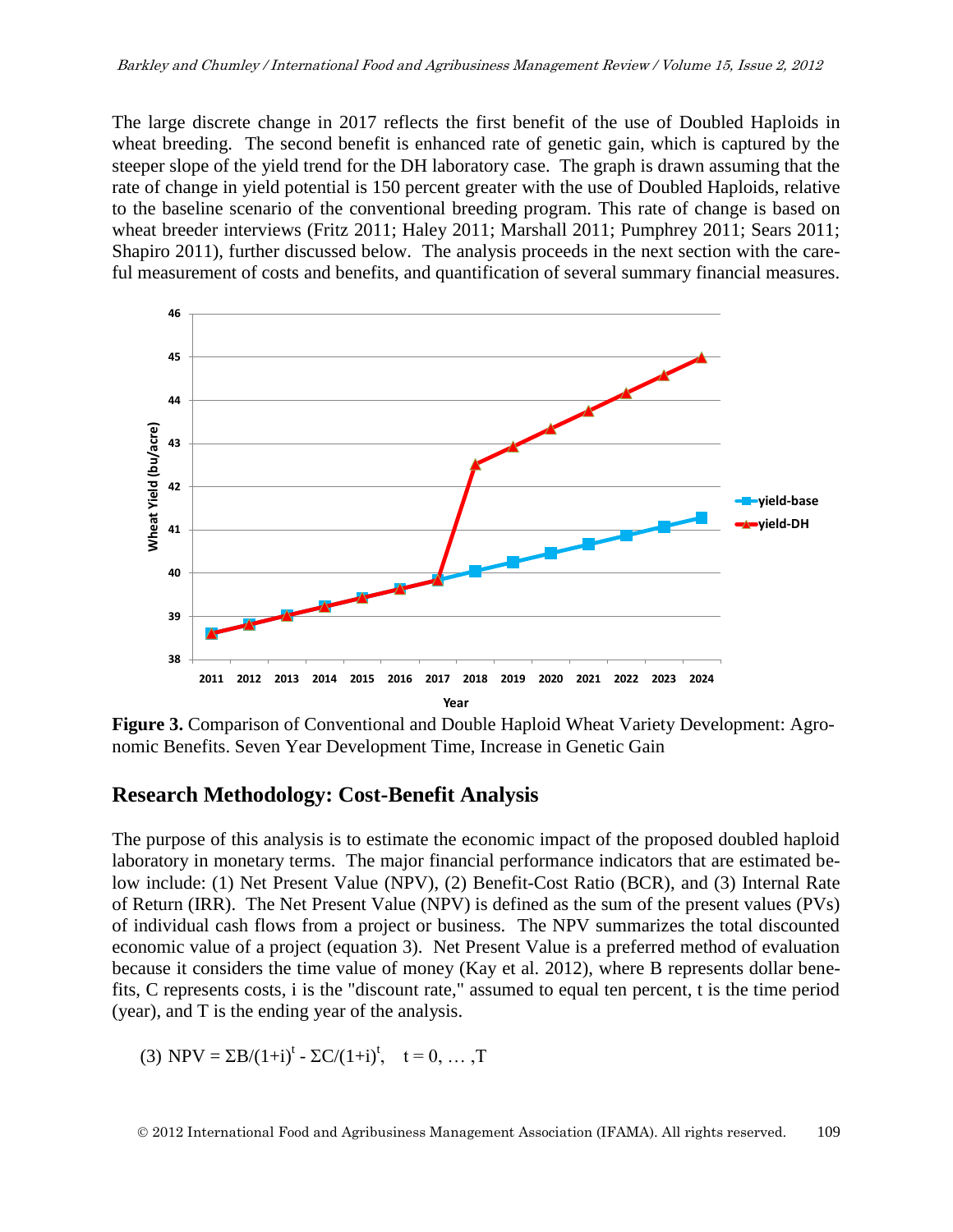The large discrete change in 2017 reflects the first benefit of the use of Doubled Haploids in wheat breeding. The second benefit is enhanced rate of genetic gain, which is captured by the steeper slope of the yield trend for the DH laboratory case. The graph is drawn assuming that the rate of change in yield potential is 150 percent greater with the use of Doubled Haploids, relative to the baseline scenario of the conventional breeding program. This rate of change is based on wheat breeder interviews (Fritz 2011; Haley 2011; Marshall 2011; Pumphrey 2011; Sears 2011; Sears 2011; Shapiro 2011), further discussed below. The analysis proceeds in the next section with the careshapho 2011), future diseassed below. The analysis proceeds in the heat section with the earc-<br>ful measurement of costs and benefits, and quantification of several summary financial measures. **Seven Year Development Time, Increase in Genetic Gain**



**Figure 3.** Comparison of Conventional and Double Haploid Wheat Variety Development: Agronomic Benefits. Seven Year Development Time, Increase in Genetic Gain

### **Research Methodology: Cost-Benefit Analysis**

The purpose of this analysis is to estimate the economic impact of the proposed doubled haploid laboratory in monetary terms. The major financial performance indicators that are estimated below include: (1) Net Present Value (NPV), (2) Benefit-Cost Ratio (BCR), and (3) Internal Rate of Return (IRR). The Net Present Value (NPV) is defined as the sum of the present values (PVs) of individual cash flows from a project or business. The NPV summarizes the total discounted economic value of a project (equation 3). Net Present Value is a preferred method of evaluation because it considers the time value of money (Kay et al. 2012), where B represents dollar benefits, C represents costs, i is the "discount rate," assumed to equal ten percent, t is the time period (year), and T is the ending year of the analysis.

(3) 
$$
NPV = \Sigma B/(1+i)^t - \Sigma C/(1+i)^t
$$
,  $t = 0, ..., T$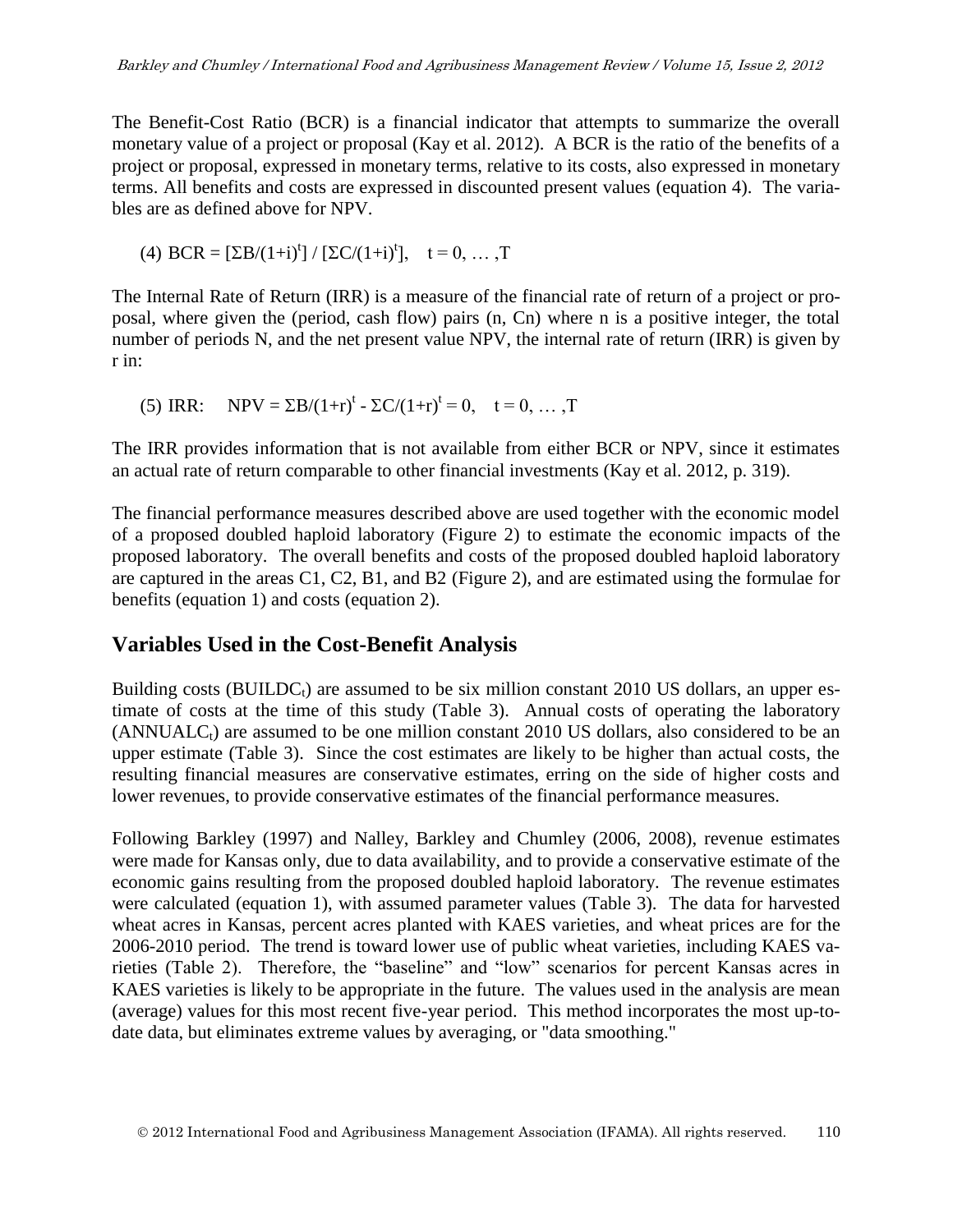The Benefit-Cost Ratio (BCR) is a financial indicator that attempts to summarize the overall monetary value of a project or proposal (Kay et al. 2012). A BCR is the ratio of the benefits of a project or proposal, expressed in monetary terms, relative to its costs, also expressed in monetary terms. All benefits and costs are expressed in discounted present values (equation 4). The variables are as defined above for NPV.

(4) 
$$
BCR = [\Sigma B/(1+i)^t] / [\Sigma C/(1+i)^t], \quad t = 0, \dots, T
$$

The Internal Rate of Return (IRR) is a measure of the financial rate of return of a project or proposal, where given the (period, cash flow) pairs (n, Cn) where n is a positive integer, the total number of periods N, and the net present value NPV, the internal rate of return (IRR) is given by r in:

(5) IRR: NPV =  $\Sigma B/(1+r)^t - \Sigma C/(1+r)^t = 0$ ,  $t = 0, ..., T$ 

The IRR provides information that is not available from either BCR or NPV, since it estimates an actual rate of return comparable to other financial investments (Kay et al. 2012, p. 319).

The financial performance measures described above are used together with the economic model of a proposed doubled haploid laboratory (Figure 2) to estimate the economic impacts of the proposed laboratory. The overall benefits and costs of the proposed doubled haploid laboratory are captured in the areas C1, C2, B1, and B2 (Figure 2), and are estimated using the formulae for benefits (equation 1) and costs (equation 2).

# **Variables Used in the Cost-Benefit Analysis**

Building costs (BUILDC<sub>t</sub>) are assumed to be six million constant 2010 US dollars, an upper estimate of costs at the time of this study (Table 3). Annual costs of operating the laboratory  $(ANNUALC<sub>t</sub>)$  are assumed to be one million constant 2010 US dollars, also considered to be an upper estimate (Table 3). Since the cost estimates are likely to be higher than actual costs, the resulting financial measures are conservative estimates, erring on the side of higher costs and lower revenues, to provide conservative estimates of the financial performance measures.

Following Barkley (1997) and Nalley, Barkley and Chumley (2006, 2008), revenue estimates were made for Kansas only, due to data availability, and to provide a conservative estimate of the economic gains resulting from the proposed doubled haploid laboratory. The revenue estimates were calculated (equation 1), with assumed parameter values (Table 3). The data for harvested wheat acres in Kansas, percent acres planted with KAES varieties, and wheat prices are for the 2006-2010 period. The trend is toward lower use of public wheat varieties, including KAES varieties (Table 2). Therefore, the "baseline" and "low" scenarios for percent Kansas acres in KAES varieties is likely to be appropriate in the future. The values used in the analysis are mean (average) values for this most recent five-year period. This method incorporates the most up-todate data, but eliminates extreme values by averaging, or "data smoothing."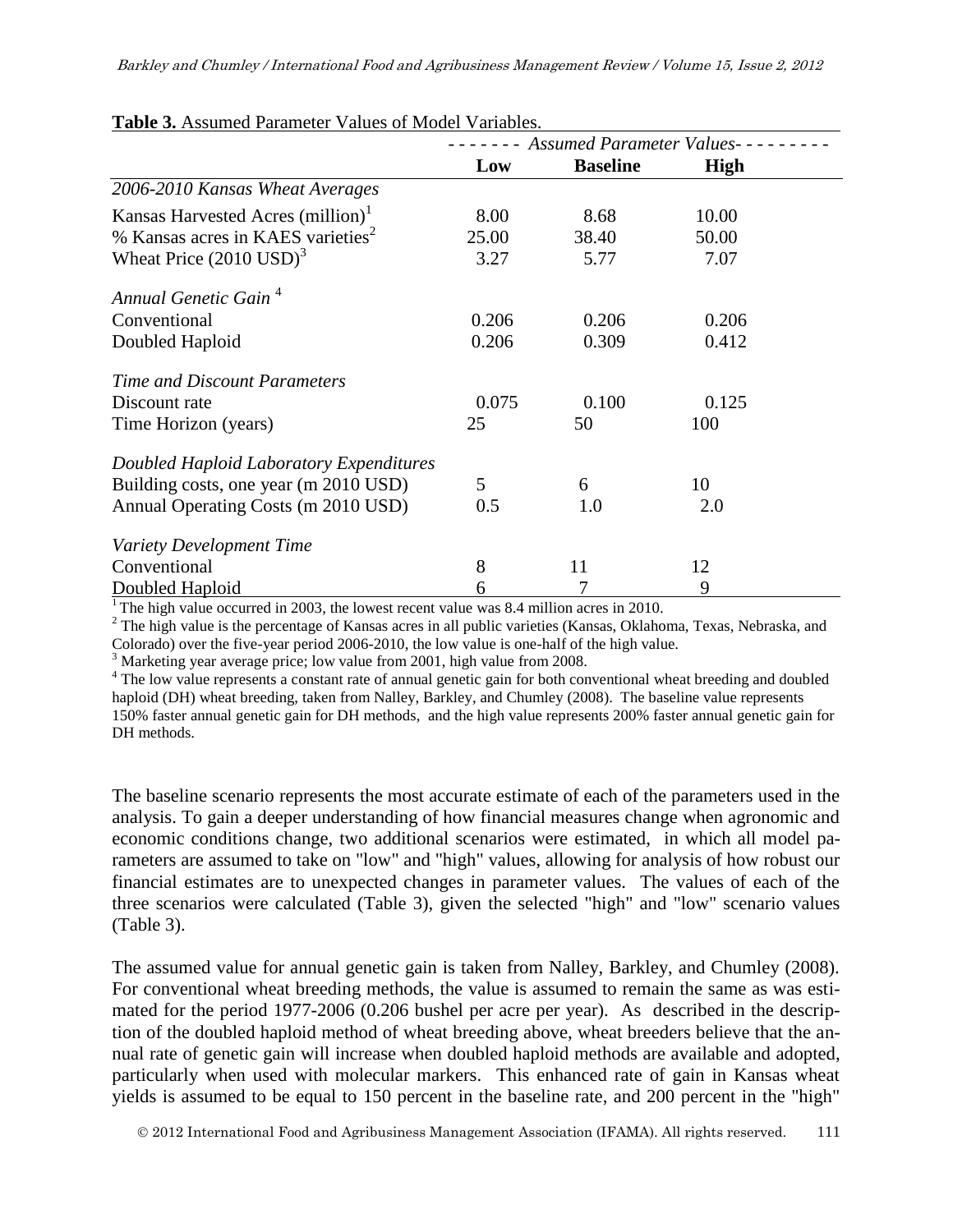|                                               |       | <b>Assumed Parameter Values-</b> |             |
|-----------------------------------------------|-------|----------------------------------|-------------|
|                                               | Low   | <b>Baseline</b>                  | <b>High</b> |
| 2006-2010 Kansas Wheat Averages               |       |                                  |             |
| Kansas Harvested Acres (million) <sup>1</sup> | 8.00  | 8.68                             | 10.00       |
| % Kansas acres in KAES varieties <sup>2</sup> | 25.00 | 38.40                            | 50.00       |
| Wheat Price $(2010 \text{ USD})^3$            | 3.27  | 5.77                             | 7.07        |
| Annual Genetic Gain <sup>4</sup>              |       |                                  |             |
| Conventional                                  | 0.206 | 0.206                            | 0.206       |
| Doubled Haploid                               | 0.206 | 0.309                            | 0.412       |
| Time and Discount Parameters                  |       |                                  |             |
| Discount rate                                 | 0.075 | 0.100                            | 0.125       |
| Time Horizon (years)                          | 25    | 50                               | 100         |
| Doubled Haploid Laboratory Expenditures       |       |                                  |             |
| Building costs, one year (m 2010 USD)         | 5     | 6                                | 10          |
| Annual Operating Costs (m 2010 USD)           | 0.5   | 1.0                              | 2.0         |
| Variety Development Time                      |       |                                  |             |
| Conventional                                  | 8     | 11                               | 12          |
| Doubled Haploid                               | 6     |                                  | 9           |

**Table 3.** Assumed Parameter Values of Model Variables.

<sup>1</sup> The high value occurred in 2003, the lowest recent value was 8.4 million acres in 2010.

 $2$  The high value is the percentage of Kansas acres in all public varieties (Kansas, Oklahoma, Texas, Nebraska, and Colorado) over the five-year period 2006-2010, the low value is one-half of the high value.

<sup>3</sup> Marketing year average price; low value from 2001, high value from 2008.

<sup>4</sup> The low value represents a constant rate of annual genetic gain for both conventional wheat breeding and doubled haploid (DH) wheat breeding, taken from Nalley, Barkley, and Chumley (2008). The baseline value represents 150% faster annual genetic gain for DH methods, and the high value represents 200% faster annual genetic gain for DH methods.

The baseline scenario represents the most accurate estimate of each of the parameters used in the analysis. To gain a deeper understanding of how financial measures change when agronomic and economic conditions change, two additional scenarios were estimated, in which all model parameters are assumed to take on "low" and "high" values, allowing for analysis of how robust our financial estimates are to unexpected changes in parameter values. The values of each of the three scenarios were calculated (Table 3), given the selected "high" and "low" scenario values (Table 3).

The assumed value for annual genetic gain is taken from Nalley, Barkley, and Chumley (2008). For conventional wheat breeding methods, the value is assumed to remain the same as was estimated for the period 1977-2006 (0.206 bushel per acre per year). As described in the description of the doubled haploid method of wheat breeding above, wheat breeders believe that the annual rate of genetic gain will increase when doubled haploid methods are available and adopted, particularly when used with molecular markers. This enhanced rate of gain in Kansas wheat yields is assumed to be equal to 150 percent in the baseline rate, and 200 percent in the "high"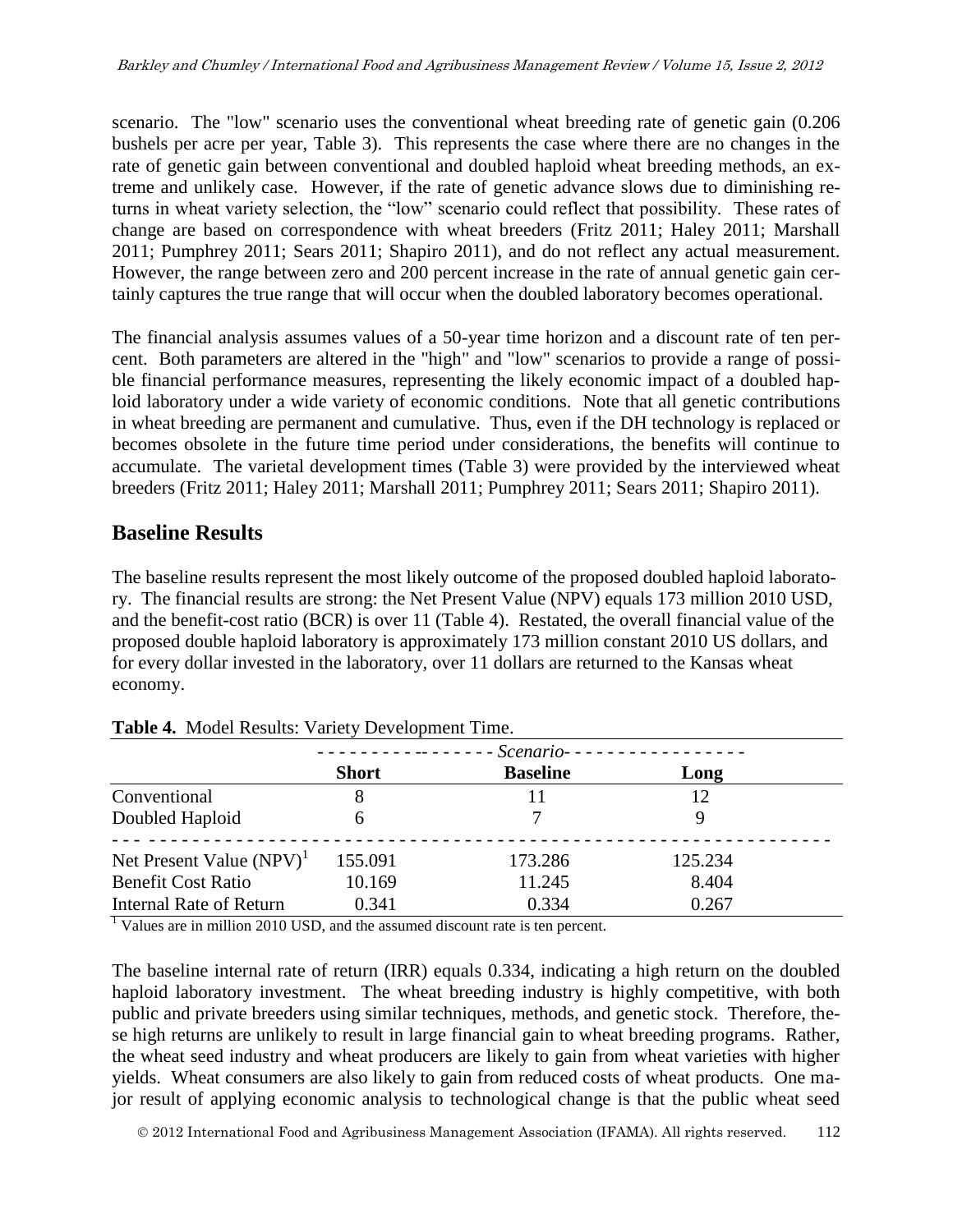scenario. The "low" scenario uses the conventional wheat breeding rate of genetic gain (0.206 bushels per acre per year, Table 3). This represents the case where there are no changes in the rate of genetic gain between conventional and doubled haploid wheat breeding methods, an extreme and unlikely case. However, if the rate of genetic advance slows due to diminishing returns in wheat variety selection, the "low" scenario could reflect that possibility. These rates of change are based on correspondence with wheat breeders (Fritz 2011; Haley 2011; Marshall 2011; Pumphrey 2011; Sears 2011; Shapiro 2011), and do not reflect any actual measurement. However, the range between zero and 200 percent increase in the rate of annual genetic gain certainly captures the true range that will occur when the doubled laboratory becomes operational.

The financial analysis assumes values of a 50-year time horizon and a discount rate of ten percent. Both parameters are altered in the "high" and "low" scenarios to provide a range of possible financial performance measures, representing the likely economic impact of a doubled haploid laboratory under a wide variety of economic conditions. Note that all genetic contributions in wheat breeding are permanent and cumulative. Thus, even if the DH technology is replaced or becomes obsolete in the future time period under considerations, the benefits will continue to accumulate. The varietal development times (Table 3) were provided by the interviewed wheat breeders (Fritz 2011; Haley 2011; Marshall 2011; Pumphrey 2011; Sears 2011; Shapiro 2011).

### **Baseline Results**

The baseline results represent the most likely outcome of the proposed doubled haploid laboratory. The financial results are strong: the Net Present Value (NPV) equals 173 million 2010 USD, and the benefit-cost ratio (BCR) is over 11 (Table 4). Restated, the overall financial value of the proposed double haploid laboratory is approximately 173 million constant 2010 US dollars, and for every dollar invested in the laboratory, over 11 dollars are returned to the Kansas wheat economy.

|                             |              | - Scenario -------------- |         |  |
|-----------------------------|--------------|---------------------------|---------|--|
|                             | <b>Short</b> | <b>Baseline</b>           | Long    |  |
| Conventional                |              |                           | 12      |  |
| Doubled Haploid             | h            |                           |         |  |
| Net Present Value $(NPV)^1$ | 155.091      | 173.286                   | 125.234 |  |
| <b>Benefit Cost Ratio</b>   | 10.169       | 11.245                    | 8.404   |  |
| Internal Rate of Return     | 0.341        | 0.334                     | 0.267   |  |

| Table 4. Model Results: Variety Development Time. |  |  |
|---------------------------------------------------|--|--|
|---------------------------------------------------|--|--|

<sup>1</sup> Values are in million 2010 USD, and the assumed discount rate is ten percent.

The baseline internal rate of return (IRR) equals 0.334, indicating a high return on the doubled haploid laboratory investment. The wheat breeding industry is highly competitive, with both public and private breeders using similar techniques, methods, and genetic stock. Therefore, these high returns are unlikely to result in large financial gain to wheat breeding programs. Rather, the wheat seed industry and wheat producers are likely to gain from wheat varieties with higher yields. Wheat consumers are also likely to gain from reduced costs of wheat products. One major result of applying economic analysis to technological change is that the public wheat seed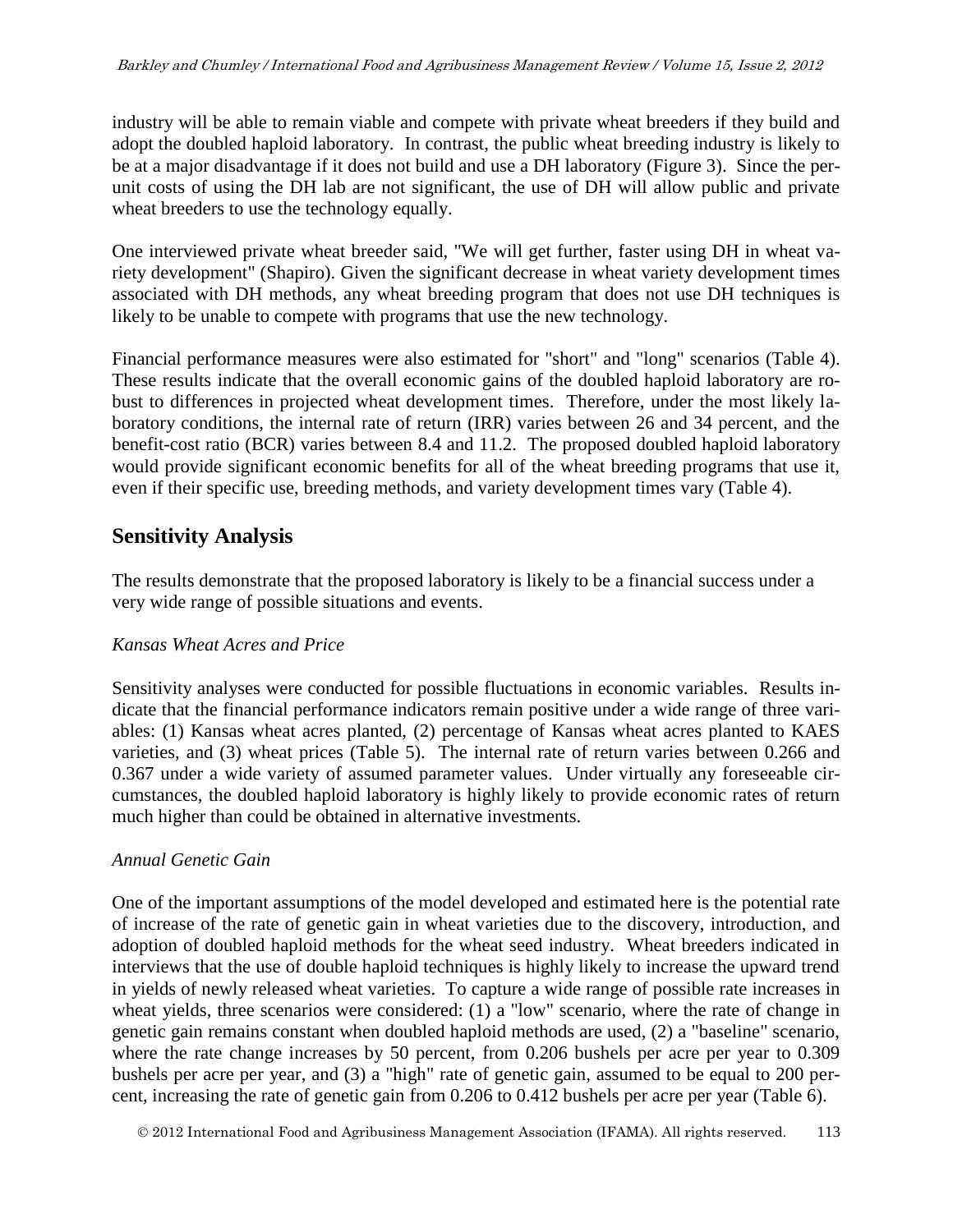industry will be able to remain viable and compete with private wheat breeders if they build and adopt the doubled haploid laboratory. In contrast, the public wheat breeding industry is likely to be at a major disadvantage if it does not build and use a DH laboratory (Figure 3). Since the perunit costs of using the DH lab are not significant, the use of DH will allow public and private wheat breeders to use the technology equally.

One interviewed private wheat breeder said, "We will get further, faster using DH in wheat variety development" (Shapiro). Given the significant decrease in wheat variety development times associated with DH methods, any wheat breeding program that does not use DH techniques is likely to be unable to compete with programs that use the new technology.

Financial performance measures were also estimated for "short" and "long" scenarios (Table 4). These results indicate that the overall economic gains of the doubled haploid laboratory are robust to differences in projected wheat development times. Therefore, under the most likely laboratory conditions, the internal rate of return (IRR) varies between 26 and 34 percent, and the benefit-cost ratio (BCR) varies between 8.4 and 11.2. The proposed doubled haploid laboratory would provide significant economic benefits for all of the wheat breeding programs that use it, even if their specific use, breeding methods, and variety development times vary (Table 4).

# **Sensitivity Analysis**

The results demonstrate that the proposed laboratory is likely to be a financial success under a very wide range of possible situations and events.

### *Kansas Wheat Acres and Price*

Sensitivity analyses were conducted for possible fluctuations in economic variables. Results indicate that the financial performance indicators remain positive under a wide range of three variables: (1) Kansas wheat acres planted, (2) percentage of Kansas wheat acres planted to KAES varieties, and (3) wheat prices (Table 5). The internal rate of return varies between 0.266 and 0.367 under a wide variety of assumed parameter values. Under virtually any foreseeable circumstances, the doubled haploid laboratory is highly likely to provide economic rates of return much higher than could be obtained in alternative investments.

### *Annual Genetic Gain*

One of the important assumptions of the model developed and estimated here is the potential rate of increase of the rate of genetic gain in wheat varieties due to the discovery, introduction, and adoption of doubled haploid methods for the wheat seed industry. Wheat breeders indicated in interviews that the use of double haploid techniques is highly likely to increase the upward trend in yields of newly released wheat varieties. To capture a wide range of possible rate increases in wheat yields, three scenarios were considered: (1) a "low" scenario, where the rate of change in genetic gain remains constant when doubled haploid methods are used, (2) a "baseline" scenario, where the rate change increases by 50 percent, from 0.206 bushels per acre per year to 0.309 bushels per acre per year, and (3) a "high" rate of genetic gain, assumed to be equal to 200 percent, increasing the rate of genetic gain from 0.206 to 0.412 bushels per acre per year (Table 6).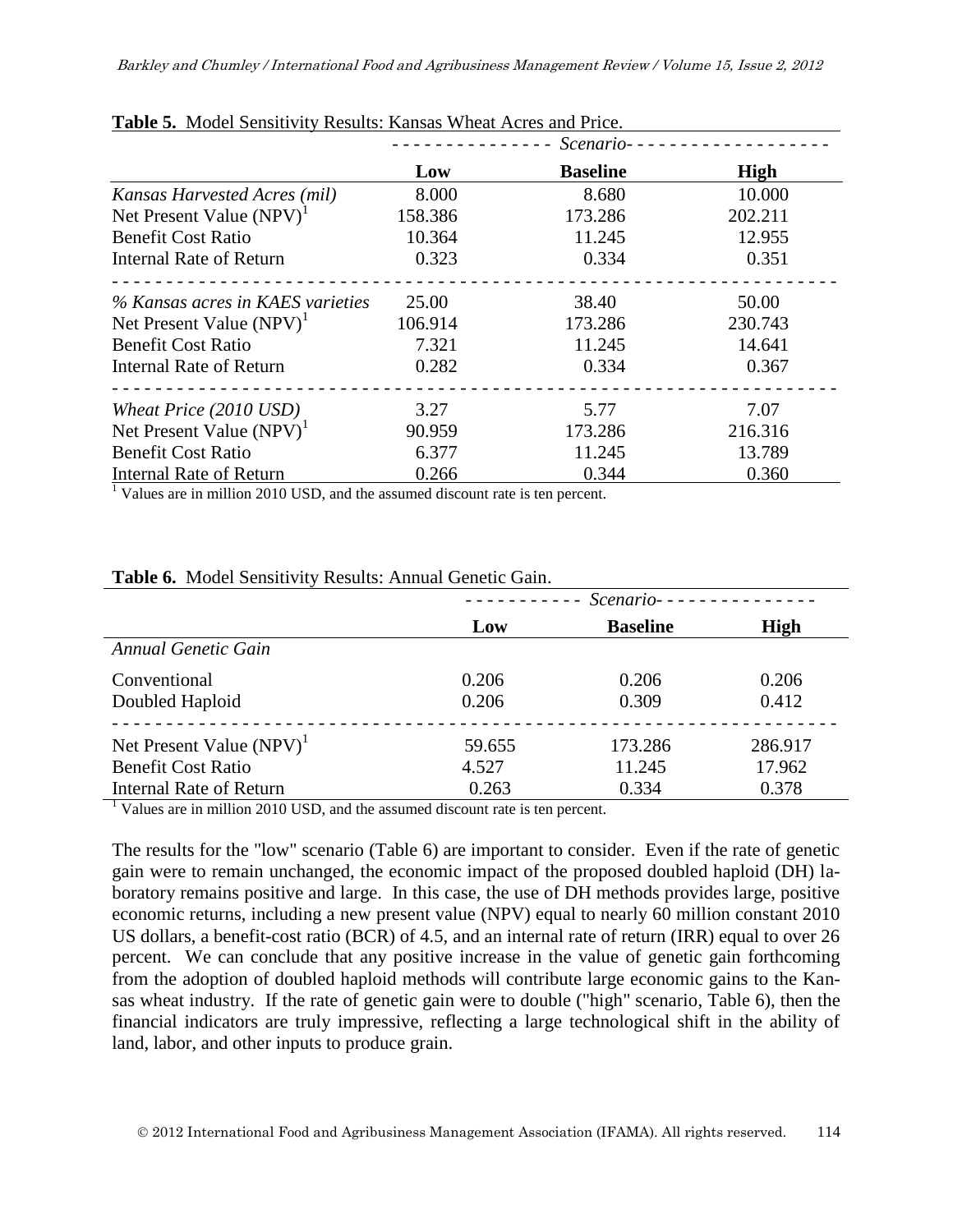| <b>Table St.</b> MOUCH DOIBILITITY INCREAS. INAHBAB TEHORI TICHS AND I THOS. |         | Scenario-       |             |
|------------------------------------------------------------------------------|---------|-----------------|-------------|
|                                                                              | Low     | <b>Baseline</b> | <b>High</b> |
| Kansas Harvested Acres (mil)                                                 | 8.000   | 8.680           | 10.000      |
| Net Present Value (NPV) <sup>1</sup>                                         | 158.386 | 173.286         | 202.211     |
| <b>Benefit Cost Ratio</b>                                                    | 10.364  | 11.245          | 12.955      |
| Internal Rate of Return                                                      | 0.323   | 0.334           | 0.351       |
| % Kansas acres in KAES varieties                                             | 25.00   | 38.40           | 50.00       |
| Net Present Value (NPV) <sup>1</sup>                                         | 106.914 | 173.286         | 230.743     |
| <b>Benefit Cost Ratio</b>                                                    | 7.321   | 11.245          | 14.641      |
| Internal Rate of Return                                                      | 0.282   | 0.334           | 0.367       |
| Wheat Price (2010 USD)                                                       | 3.27    | 5.77            | 7.07        |
| Net Present Value $(NPV)^{1}$                                                | 90.959  | 173.286         | 216.316     |
| <b>Benefit Cost Ratio</b>                                                    | 6.377   | 11.245          | 13.789      |
| <b>Internal Rate of Return</b>                                               | 0.266   | 0.344           | 0.360       |

### **Table 5.** Model Sensitivity Results: Kansas Wheat Acres and Price.

 $\frac{1}{1}$  Values are in million 2010 USD, and the assumed discount rate is ten percent.

#### **Table 6.** Model Sensitivity Results: Annual Genetic Gain.

|                                |        | $------ 5cenarios---$ |         |
|--------------------------------|--------|-----------------------|---------|
|                                | Low    | <b>Baseline</b>       | High    |
| Annual Genetic Gain            |        |                       |         |
| Conventional                   | 0.206  | 0.206                 | 0.206   |
| Doubled Haploid                | 0.206  | 0.309                 | 0.412   |
|                                |        |                       |         |
| Net Present Value $(NPV)^1$    | 59.655 | 173.286               | 286.917 |
| <b>Benefit Cost Ratio</b>      | 4.527  | 11.245                | 17.962  |
| <b>Internal Rate of Return</b> | 0.263  | 0.334                 | 0.378   |

<sup>1</sup> Values are in million 2010 USD, and the assumed discount rate is ten percent.

The results for the "low" scenario (Table 6) are important to consider. Even if the rate of genetic gain were to remain unchanged, the economic impact of the proposed doubled haploid (DH) laboratory remains positive and large. In this case, the use of DH methods provides large, positive economic returns, including a new present value (NPV) equal to nearly 60 million constant 2010 US dollars, a benefit-cost ratio (BCR) of 4.5, and an internal rate of return (IRR) equal to over 26 percent. We can conclude that any positive increase in the value of genetic gain forthcoming from the adoption of doubled haploid methods will contribute large economic gains to the Kansas wheat industry. If the rate of genetic gain were to double ("high" scenario, Table 6), then the financial indicators are truly impressive, reflecting a large technological shift in the ability of land, labor, and other inputs to produce grain.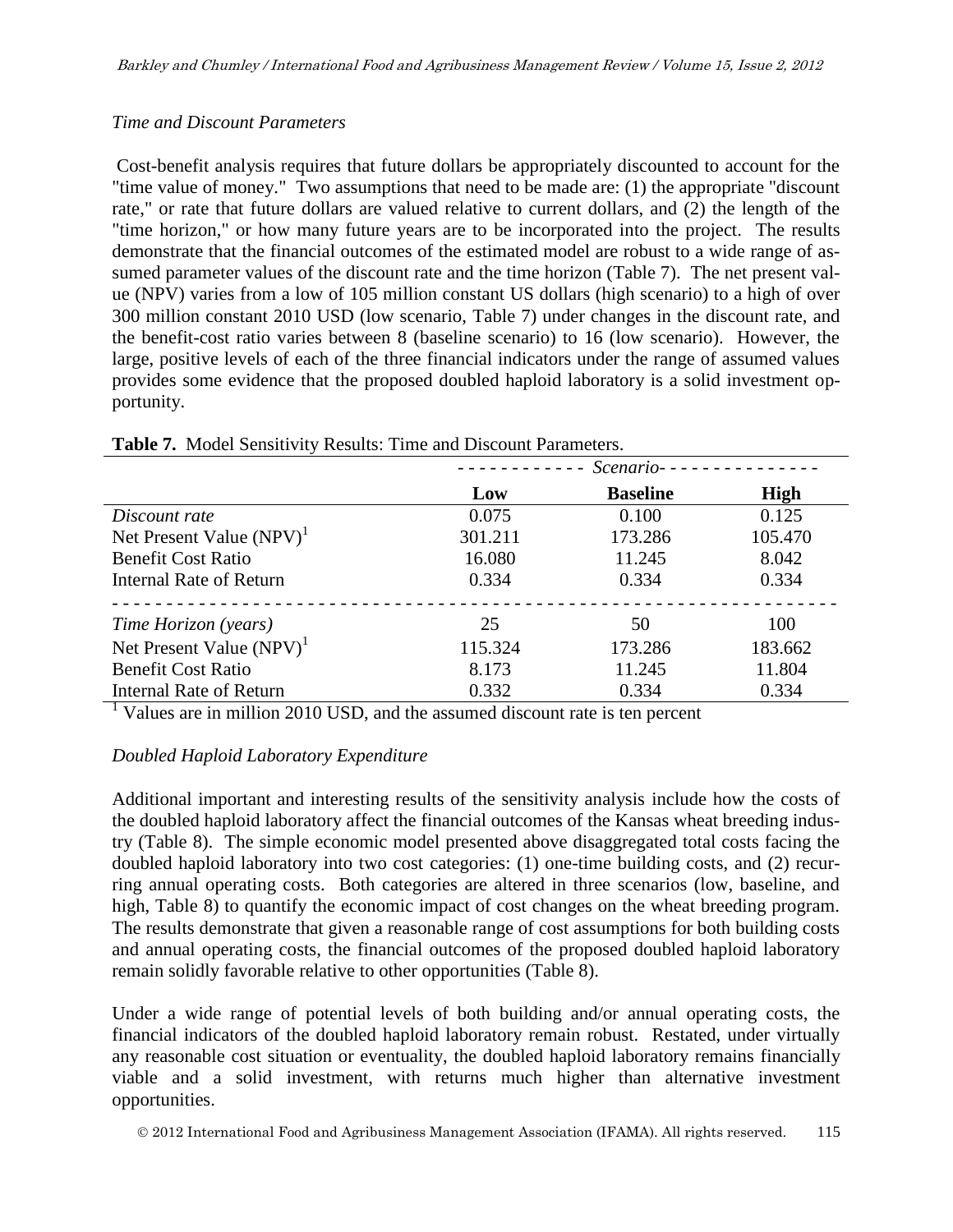### *Time and Discount Parameters*

Cost-benefit analysis requires that future dollars be appropriately discounted to account for the "time value of money." Two assumptions that need to be made are: (1) the appropriate "discount rate," or rate that future dollars are valued relative to current dollars, and (2) the length of the "time horizon," or how many future years are to be incorporated into the project. The results demonstrate that the financial outcomes of the estimated model are robust to a wide range of assumed parameter values of the discount rate and the time horizon (Table 7). The net present value (NPV) varies from a low of 105 million constant US dollars (high scenario) to a high of over 300 million constant 2010 USD (low scenario, Table 7) under changes in the discount rate, and the benefit-cost ratio varies between 8 (baseline scenario) to 16 (low scenario). However, the large, positive levels of each of the three financial indicators under the range of assumed values provides some evidence that the proposed doubled haploid laboratory is a solid investment opportunity.

|                                |         | $Scenario-----$ |             |
|--------------------------------|---------|-----------------|-------------|
|                                | Low     | <b>Baseline</b> | <b>High</b> |
| Discount rate                  | 0.075   | 0.100           | 0.125       |
| Net Present Value $(NPV)^1$    | 301.211 | 173.286         | 105.470     |
| <b>Benefit Cost Ratio</b>      | 16.080  | 11.245          | 8.042       |
| <b>Internal Rate of Return</b> | 0.334   | 0.334           | 0.334       |
| Time Horizon (years)           | 25      | 50              | 100         |
| Net Present Value $(NPV)^1$    | 115.324 | 173.286         | 183.662     |
| <b>Benefit Cost Ratio</b>      | 8.173   | 11.245          | 11.804      |
| Internal Rate of Return        | 0.332   | 0.334           | 0.334       |

#### **Table 7.** Model Sensitivity Results: Time and Discount Parameters.

 $\frac{1}{1}$  Values are in million 2010 USD, and the assumed discount rate is ten percent

### *Doubled Haploid Laboratory Expenditure*

Additional important and interesting results of the sensitivity analysis include how the costs of the doubled haploid laboratory affect the financial outcomes of the Kansas wheat breeding industry (Table 8). The simple economic model presented above disaggregated total costs facing the doubled haploid laboratory into two cost categories: (1) one-time building costs, and (2) recurring annual operating costs. Both categories are altered in three scenarios (low, baseline, and high, Table 8) to quantify the economic impact of cost changes on the wheat breeding program. The results demonstrate that given a reasonable range of cost assumptions for both building costs and annual operating costs, the financial outcomes of the proposed doubled haploid laboratory remain solidly favorable relative to other opportunities (Table 8).

Under a wide range of potential levels of both building and/or annual operating costs, the financial indicators of the doubled haploid laboratory remain robust. Restated, under virtually any reasonable cost situation or eventuality, the doubled haploid laboratory remains financially viable and a solid investment, with returns much higher than alternative investment opportunities.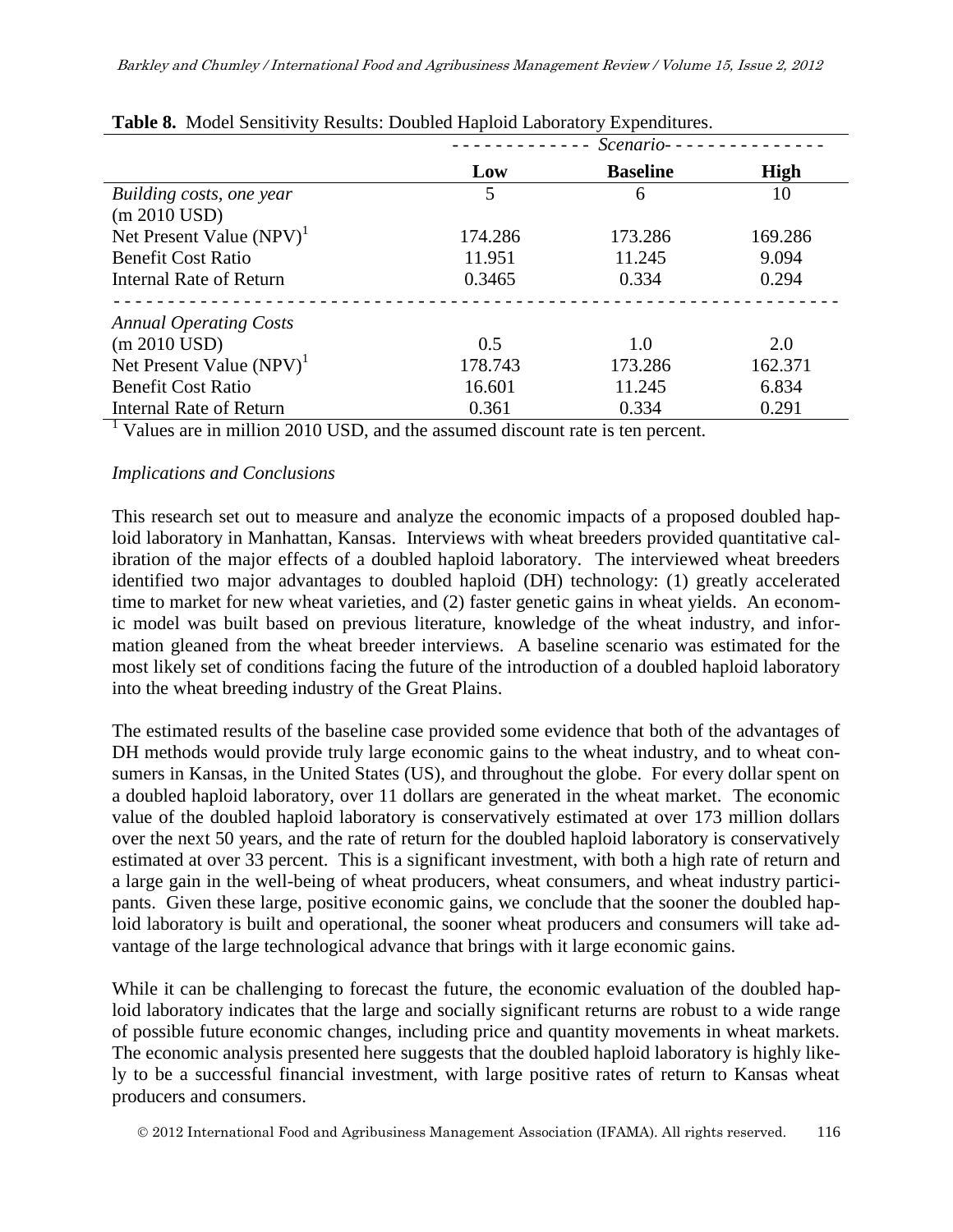|         | Scenario--      |                                                                                   |
|---------|-----------------|-----------------------------------------------------------------------------------|
| Low     | <b>Baseline</b> | <b>High</b>                                                                       |
| 5       | 6               | 10                                                                                |
|         |                 |                                                                                   |
| 174.286 | 173.286         | 169.286                                                                           |
| 11.951  | 11.245          | 9.094                                                                             |
| 0.3465  | 0.334           | 0.294                                                                             |
|         |                 |                                                                                   |
| 0.5     | 1.0             | 2.0                                                                               |
| 178.743 | 173.286         | 162.371                                                                           |
| 16.601  | 11.245          | 6.834                                                                             |
| 0.361   | 0.334           | 0.291                                                                             |
|         |                 | <b>Table 0.</b> MOUCH SCHSHEVILY INSURS. DOUDING Haplord Laboratory LApenditures. |

| Table 8. Model Sensitivity Results: Doubled Haploid Laboratory Expenditures. |
|------------------------------------------------------------------------------|
|------------------------------------------------------------------------------|

<sup>1</sup> Values are in million 2010 USD, and the assumed discount rate is ten percent.

### *Implications and Conclusions*

This research set out to measure and analyze the economic impacts of a proposed doubled haploid laboratory in Manhattan, Kansas. Interviews with wheat breeders provided quantitative calibration of the major effects of a doubled haploid laboratory. The interviewed wheat breeders identified two major advantages to doubled haploid (DH) technology: (1) greatly accelerated time to market for new wheat varieties, and (2) faster genetic gains in wheat yields. An economic model was built based on previous literature, knowledge of the wheat industry, and information gleaned from the wheat breeder interviews. A baseline scenario was estimated for the most likely set of conditions facing the future of the introduction of a doubled haploid laboratory into the wheat breeding industry of the Great Plains.

The estimated results of the baseline case provided some evidence that both of the advantages of DH methods would provide truly large economic gains to the wheat industry, and to wheat consumers in Kansas, in the United States (US), and throughout the globe. For every dollar spent on a doubled haploid laboratory, over 11 dollars are generated in the wheat market. The economic value of the doubled haploid laboratory is conservatively estimated at over 173 million dollars over the next 50 years, and the rate of return for the doubled haploid laboratory is conservatively estimated at over 33 percent. This is a significant investment, with both a high rate of return and a large gain in the well-being of wheat producers, wheat consumers, and wheat industry participants. Given these large, positive economic gains, we conclude that the sooner the doubled haploid laboratory is built and operational, the sooner wheat producers and consumers will take advantage of the large technological advance that brings with it large economic gains.

While it can be challenging to forecast the future, the economic evaluation of the doubled haploid laboratory indicates that the large and socially significant returns are robust to a wide range of possible future economic changes, including price and quantity movements in wheat markets. The economic analysis presented here suggests that the doubled haploid laboratory is highly likely to be a successful financial investment, with large positive rates of return to Kansas wheat producers and consumers.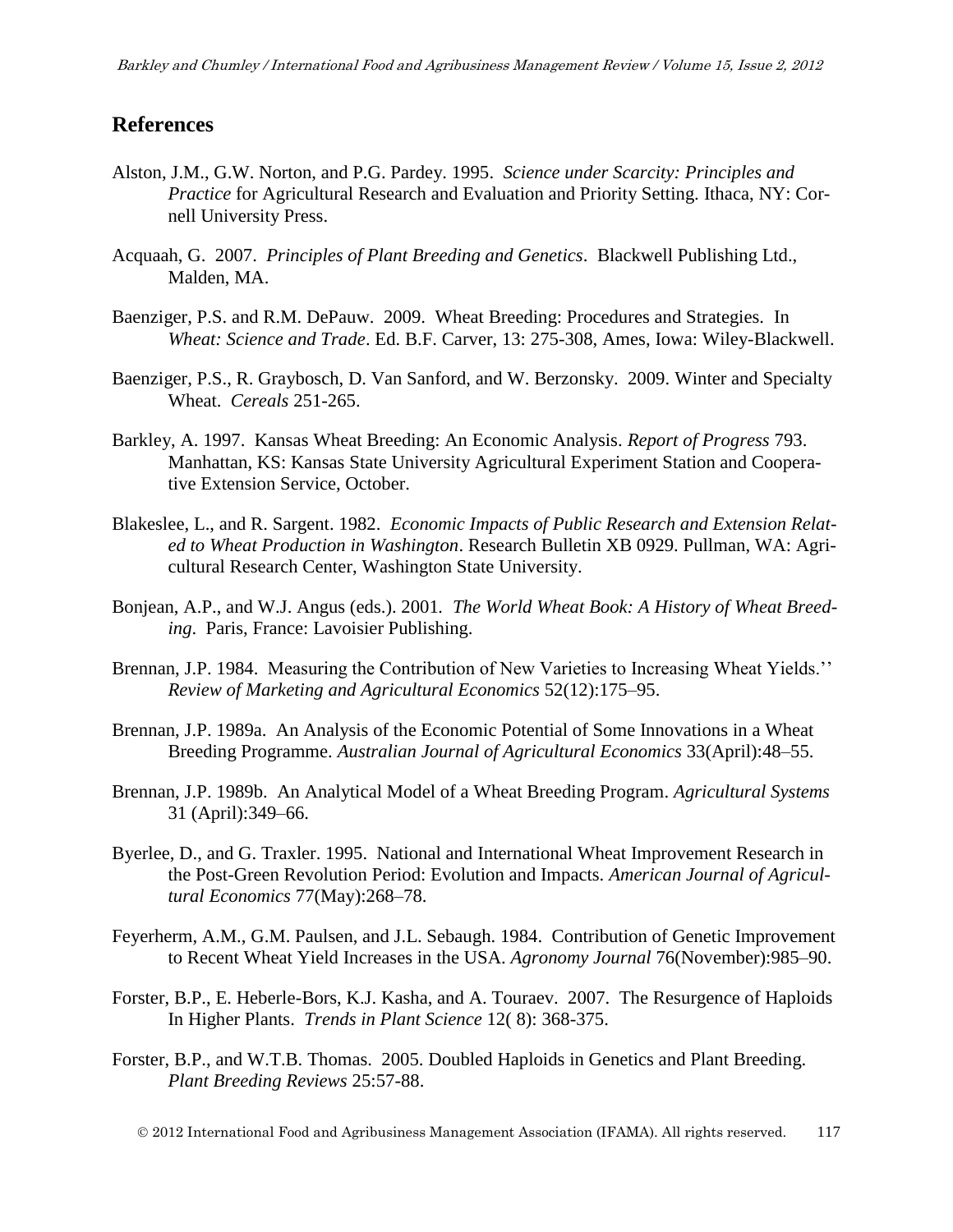### **References**

- Alston, J.M., G.W. Norton, and P.G. Pardey. 1995. *Science under Scarcity: Principles and Practice* for Agricultural Research and Evaluation and Priority Setting. Ithaca, NY: Cornell University Press.
- Acquaah, G. 2007. *Principles of Plant Breeding and Genetics*. Blackwell Publishing Ltd., Malden, MA.
- Baenziger, P.S. and R.M. DePauw. 2009. Wheat Breeding: Procedures and Strategies. In *Wheat: Science and Trade*. Ed. B.F. Carver, 13: 275-308, Ames, Iowa: Wiley-Blackwell.
- Baenziger, P.S., R. Graybosch, D. Van Sanford, and W. Berzonsky. 2009. Winter and Specialty Wheat. *Cereals* 251-265.
- Barkley, A. 1997. Kansas Wheat Breeding: An Economic Analysis. *Report of Progress* 793. Manhattan, KS: Kansas State University Agricultural Experiment Station and Cooperative Extension Service, October.
- Blakeslee, L., and R. Sargent. 1982. *Economic Impacts of Public Research and Extension Related to Wheat Production in Washington*. Research Bulletin XB 0929. Pullman, WA: Agricultural Research Center, Washington State University.
- Bonjean, A.P., and W.J. Angus (eds.). 2001*. The World Wheat Book: A History of Wheat Breeding*. Paris, France: Lavoisier Publishing.
- Brennan, J.P. 1984. Measuring the Contribution of New Varieties to Increasing Wheat Yields.'' *Review of Marketing and Agricultural Economics* 52(12):175–95.
- Brennan, J.P. 1989a. An Analysis of the Economic Potential of Some Innovations in a Wheat Breeding Programme. *Australian Journal of Agricultural Economics* 33(April):48–55.
- Brennan, J.P. 1989b. An Analytical Model of a Wheat Breeding Program. *Agricultural Systems* 31 (April):349–66.
- Byerlee, D., and G. Traxler. 1995. National and International Wheat Improvement Research in the Post-Green Revolution Period: Evolution and Impacts. *American Journal of Agricultural Economics* 77(May):268–78.
- Feyerherm, A.M., G.M. Paulsen, and J.L. Sebaugh. 1984. Contribution of Genetic Improvement to Recent Wheat Yield Increases in the USA. *Agronomy Journal* 76(November):985–90.
- Forster, B.P., E. Heberle-Bors, K.J. Kasha, and A. Touraev. 2007. The Resurgence of Haploids In Higher Plants. *Trends in Plant Science* 12( 8): 368-375.
- Forster, B.P., and W.T.B. Thomas. 2005. Doubled Haploids in Genetics and Plant Breeding. *Plant Breeding Reviews* 25:57-88.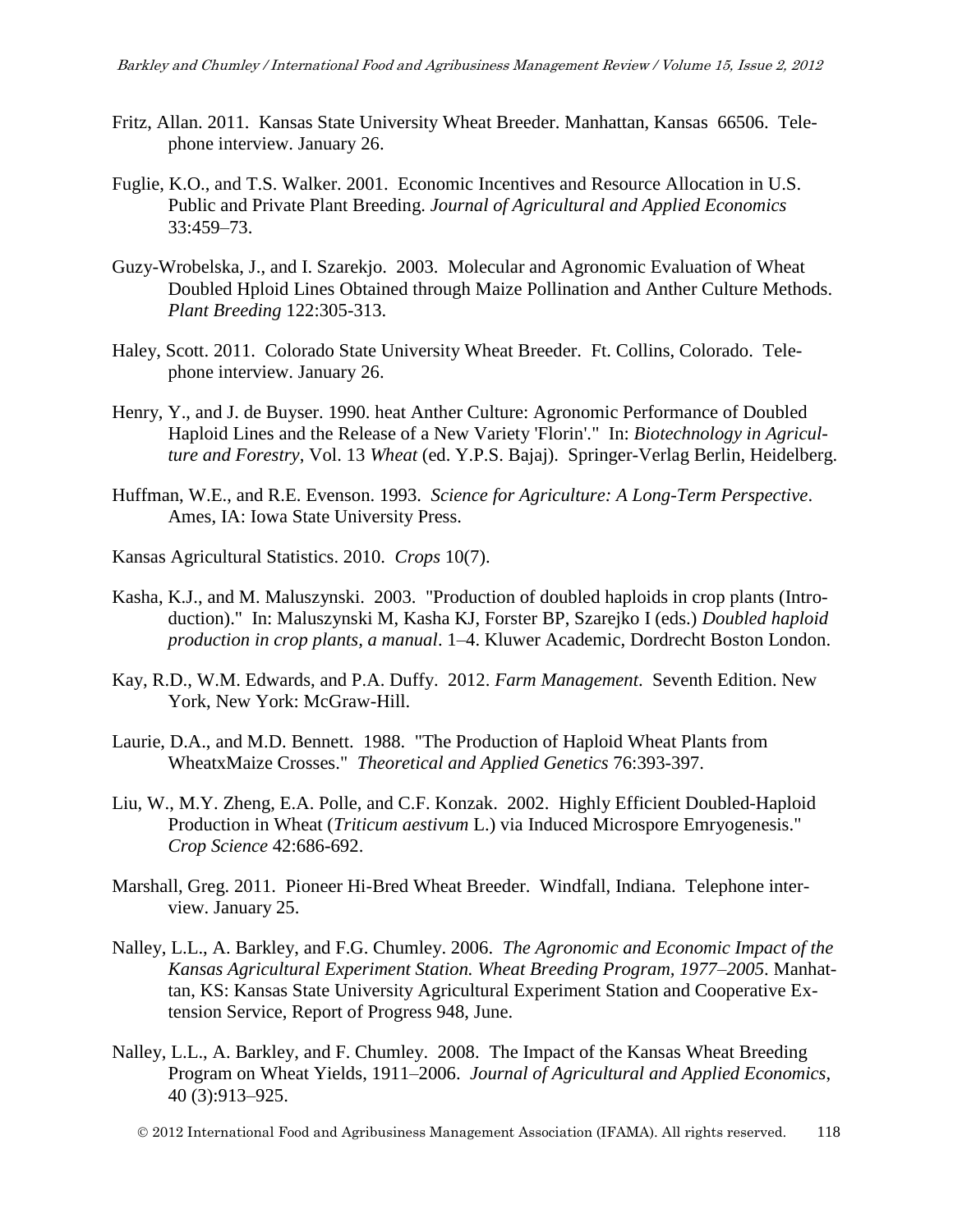- Fritz, Allan. 2011. Kansas State University Wheat Breeder. Manhattan, Kansas 66506. Telephone interview. January 26.
- Fuglie, K.O., and T.S. Walker. 2001. Economic Incentives and Resource Allocation in U.S. Public and Private Plant Breeding. *Journal of Agricultural and Applied Economics* 33:459–73.
- Guzy-Wrobelska, J., and I. Szarekjo. 2003. Molecular and Agronomic Evaluation of Wheat Doubled Hploid Lines Obtained through Maize Pollination and Anther Culture Methods. *Plant Breeding* 122:305-313.
- Haley, Scott. 2011. Colorado State University Wheat Breeder. Ft. Collins, Colorado. Telephone interview. January 26.
- Henry, Y., and J. de Buyser. 1990. heat Anther Culture: Agronomic Performance of Doubled Haploid Lines and the Release of a New Variety 'Florin'." In: *Biotechnology in Agriculture and Forestry*, Vol. 13 *Wheat* (ed. Y.P.S. Bajaj). Springer-Verlag Berlin, Heidelberg.
- Huffman, W.E., and R.E. Evenson. 1993. *Science for Agriculture: A Long-Term Perspective*. Ames, IA: Iowa State University Press.
- Kansas Agricultural Statistics. 2010. *Crops* 10(7).
- Kasha, K.J., and M. Maluszynski. 2003. "Production of doubled haploids in crop plants (Introduction)." In: Maluszynski M, Kasha KJ, Forster BP, Szarejko I (eds.) *Doubled haploid production in crop plants, a manual*. 1–4. Kluwer Academic, Dordrecht Boston London.
- Kay, R.D., W.M. Edwards, and P.A. Duffy. 2012. *Farm Management*. Seventh Edition. New York, New York: McGraw-Hill.
- Laurie, D.A., and M.D. Bennett. 1988. "The Production of Haploid Wheat Plants from WheatxMaize Crosses." *Theoretical and Applied Genetics* 76:393-397.
- Liu, W., M.Y. Zheng, E.A. Polle, and C.F. Konzak. 2002. Highly Efficient Doubled-Haploid Production in Wheat (*Triticum aestivum* L.) via Induced Microspore Emryogenesis." *Crop Science* 42:686-692.
- Marshall, Greg. 2011. Pioneer Hi-Bred Wheat Breeder. Windfall, Indiana. Telephone interview. January 25.
- Nalley, L.L., A. Barkley, and F.G. Chumley. 2006. *The Agronomic and Economic Impact of the Kansas Agricultural Experiment Station. Wheat Breeding Program, 1977–2005*. Manhattan, KS: Kansas State University Agricultural Experiment Station and Cooperative Extension Service, Report of Progress 948, June.
- Nalley, L.L., A. Barkley, and F. Chumley. 2008. The Impact of the Kansas Wheat Breeding Program on Wheat Yields, 1911–2006. *Journal of Agricultural and Applied Economics*, 40 (3):913–925.

2012 International Food and Agribusiness Management Association (IFAMA). All rights reserved. 118